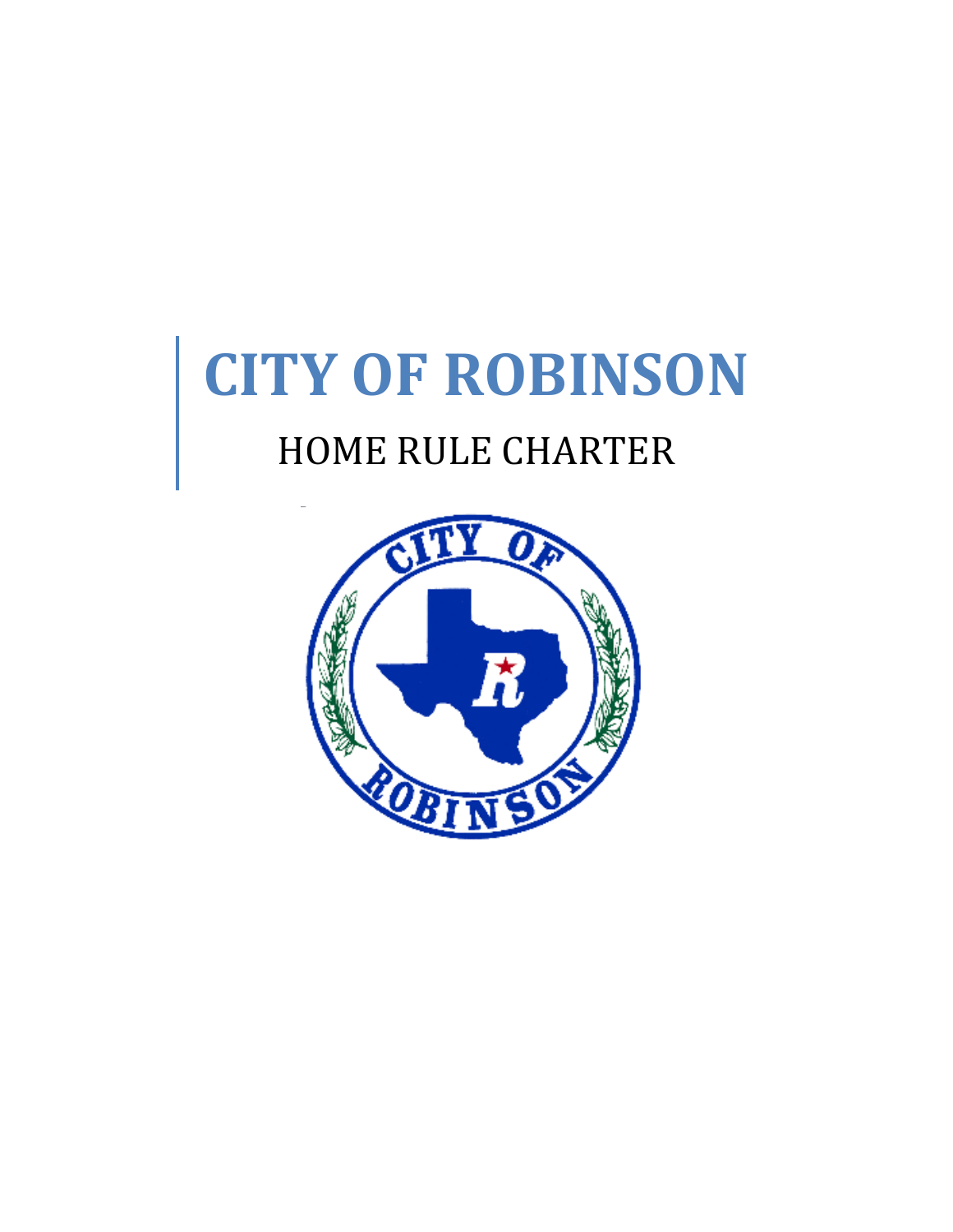# **CITY OF ROBINSON**

# HOME RULE CHARTER

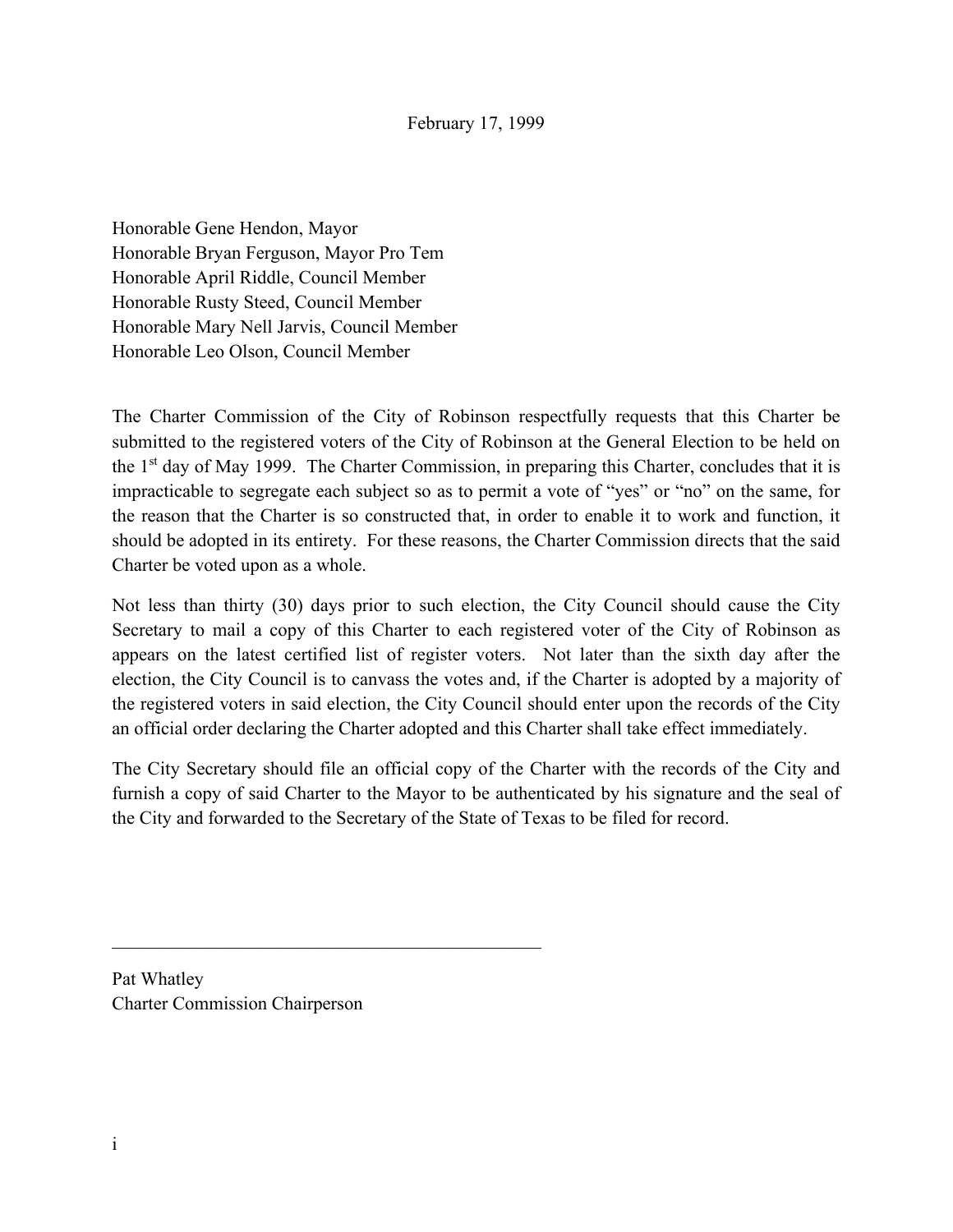Honorable Gene Hendon, Mayor Honorable Bryan Ferguson, Mayor Pro Tem Honorable April Riddle, Council Member Honorable Rusty Steed, Council Member Honorable Mary Nell Jarvis, Council Member Honorable Leo Olson, Council Member

The Charter Commission of the City of Robinson respectfully requests that this Charter be submitted to the registered voters of the City of Robinson at the General Election to be held on the  $1<sup>st</sup>$  day of May 1999. The Charter Commission, in preparing this Charter, concludes that it is impracticable to segregate each subject so as to permit a vote of "yes" or "no" on the same, for the reason that the Charter is so constructed that, in order to enable it to work and function, it should be adopted in its entirety. For these reasons, the Charter Commission directs that the said Charter be voted upon as a whole.

Not less than thirty (30) days prior to such election, the City Council should cause the City Secretary to mail a copy of this Charter to each registered voter of the City of Robinson as appears on the latest certified list of register voters. Not later than the sixth day after the election, the City Council is to canvass the votes and, if the Charter is adopted by a majority of the registered voters in said election, the City Council should enter upon the records of the City an official order declaring the Charter adopted and this Charter shall take effect immediately.

The City Secretary should file an official copy of the Charter with the records of the City and furnish a copy of said Charter to the Mayor to be authenticated by his signature and the seal of the City and forwarded to the Secretary of the State of Texas to be filed for record.

Pat Whatley Charter Commission Chairperson

\_\_\_\_\_\_\_\_\_\_\_\_\_\_\_\_\_\_\_\_\_\_\_\_\_\_\_\_\_\_\_\_\_\_\_\_\_\_\_\_\_\_\_\_\_\_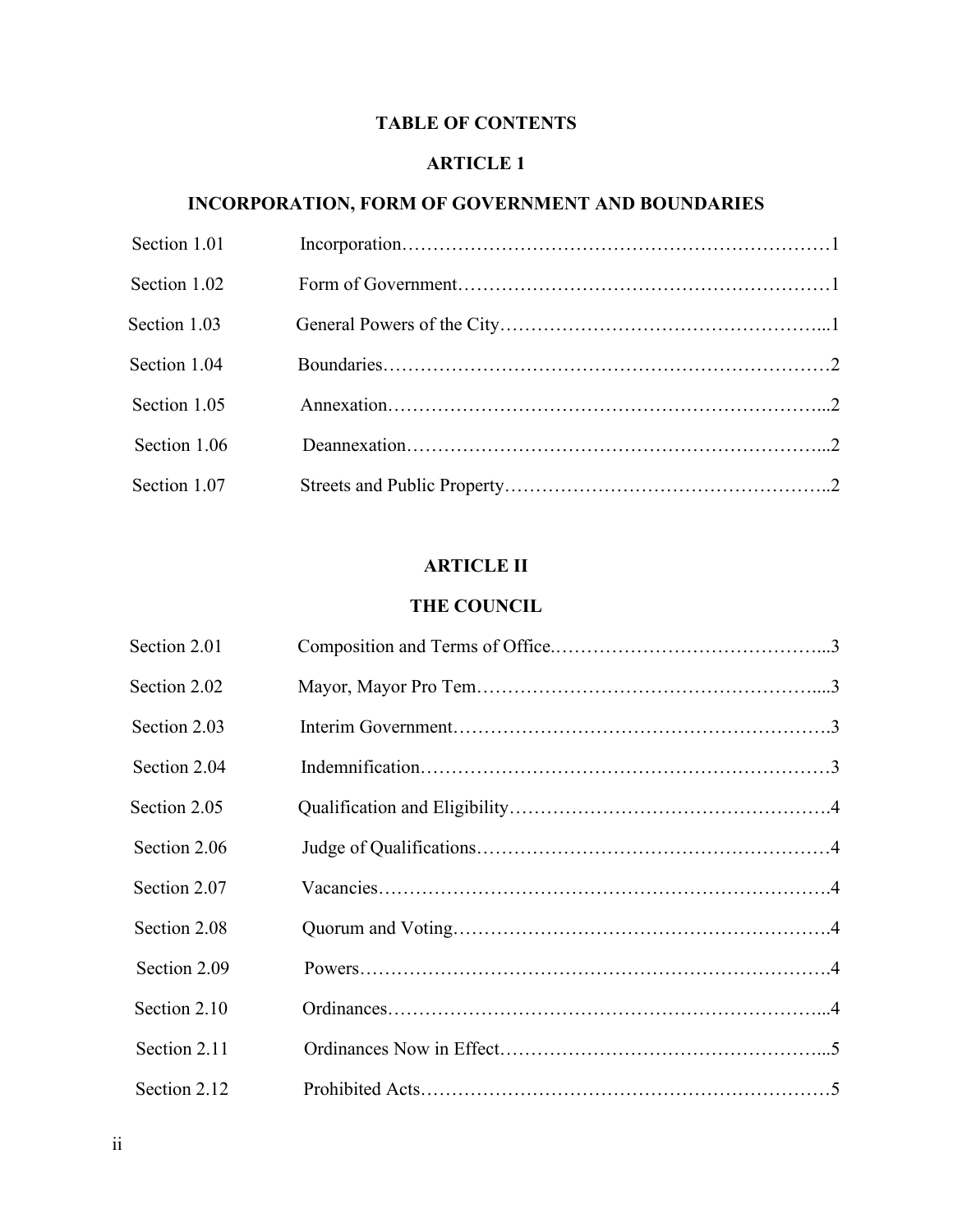# **TABLE OF CONTENTS**

#### **ARTICLE 1**

#### **INCORPORATION, FORM OF GOVERNMENT AND BOUNDARIES**

| Section 1.01 |  |
|--------------|--|
| Section 1.02 |  |
| Section 1.03 |  |
| Section 1.04 |  |
| Section 1.05 |  |
| Section 1.06 |  |
| Section 1.07 |  |

# **ARTICLE II**

#### **THE COUNCIL**

| Section 2.01 |  |
|--------------|--|
| Section 2.02 |  |
| Section 2.03 |  |
| Section 2.04 |  |
| Section 2.05 |  |
| Section 2.06 |  |
| Section 2.07 |  |
| Section 2.08 |  |
| Section 2.09 |  |
| Section 2.10 |  |
| Section 2.11 |  |
| Section 2.12 |  |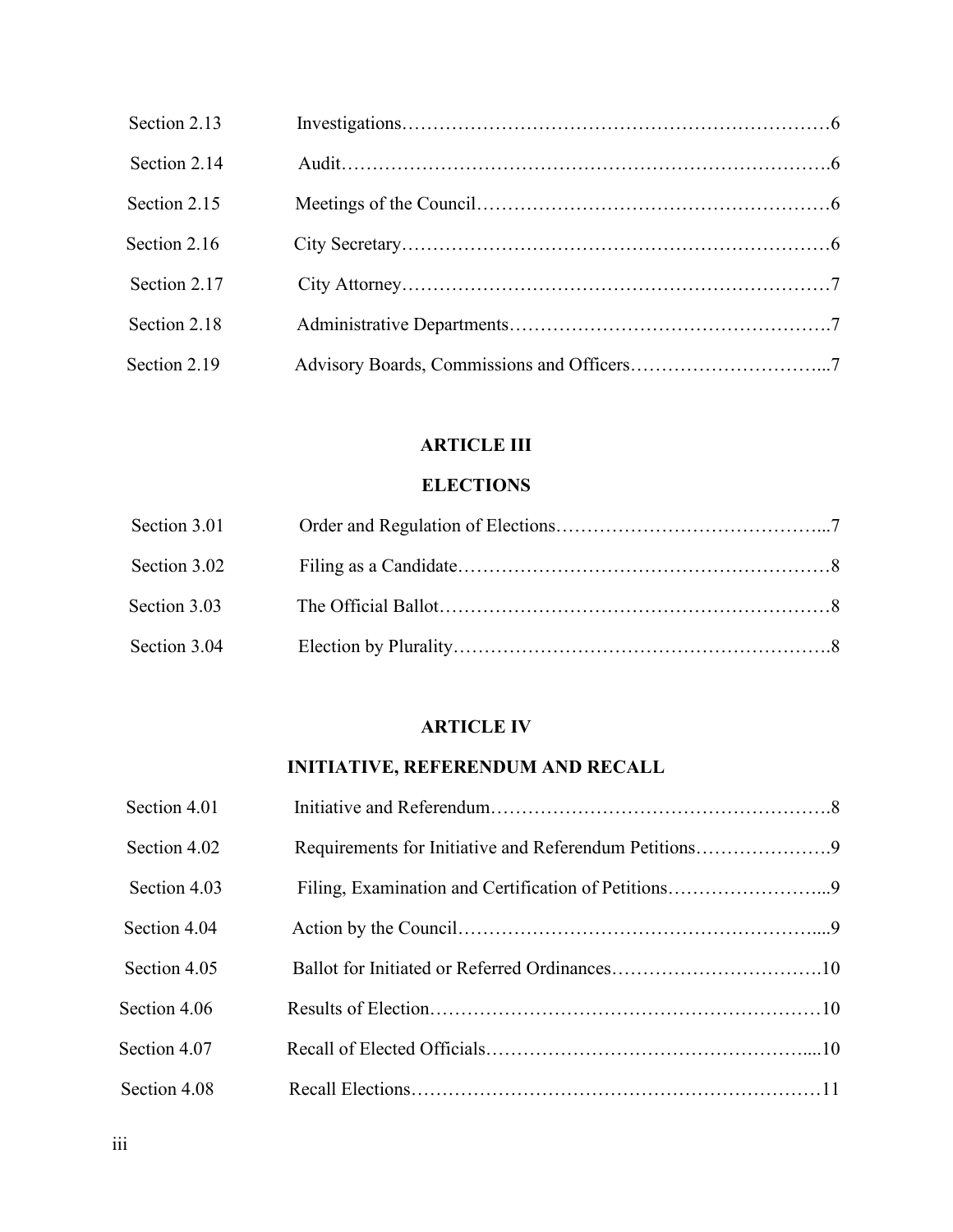| Section 2.13 |  |
|--------------|--|
| Section 2.14 |  |
| Section 2.15 |  |
| Section 2.16 |  |
| Section 2.17 |  |
| Section 2.18 |  |
| Section 2.19 |  |

# **ARTICLE III**

# **ELECTIONS**

| Section 3.01 |  |
|--------------|--|
| Section 3.02 |  |
| Section 3.03 |  |
| Section 3.04 |  |

## **ARTICLE IV**

# **INITIATIVE, REFERENDUM AND RECALL**

| Section 4.01 |                                                       |  |
|--------------|-------------------------------------------------------|--|
| Section 4.02 | Requirements for Initiative and Referendum Petitions9 |  |
| Section 4.03 |                                                       |  |
| Section 4.04 |                                                       |  |
| Section 4.05 |                                                       |  |
| Section 4.06 |                                                       |  |
| Section 4.07 |                                                       |  |
| Section 4.08 |                                                       |  |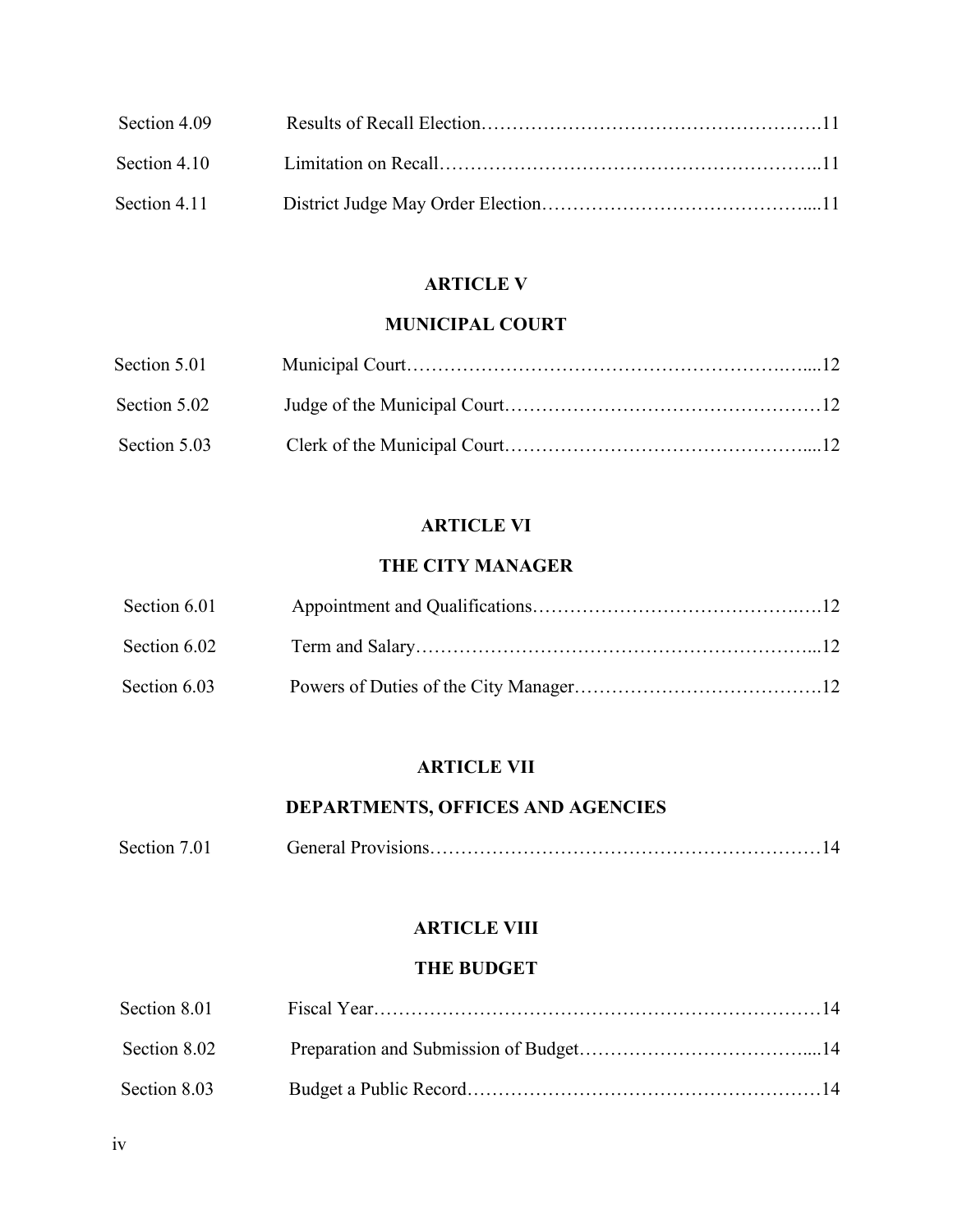| Section 4.09   |  |
|----------------|--|
|                |  |
| Section $4.11$ |  |

# **ARTICLE V**

# **MUNICIPAL COURT**

| Section 5.01 |  |
|--------------|--|
| Section 5.02 |  |
| Section 5.03 |  |

# **ARTICLE VI**

# **THE CITY MANAGER**

| Section 6.01 |  |
|--------------|--|
| Section 6.02 |  |
| Section 6.03 |  |

# **ARTICLE VII**

# **DEPARTMENTS, OFFICES AND AGENCIES**

| Section 7.01 |  |  |
|--------------|--|--|
|--------------|--|--|

# **ARTICLE VIII**

#### **THE BUDGET**

| Section 8.01 |  |
|--------------|--|
| Section 8.02 |  |
| Section 8.03 |  |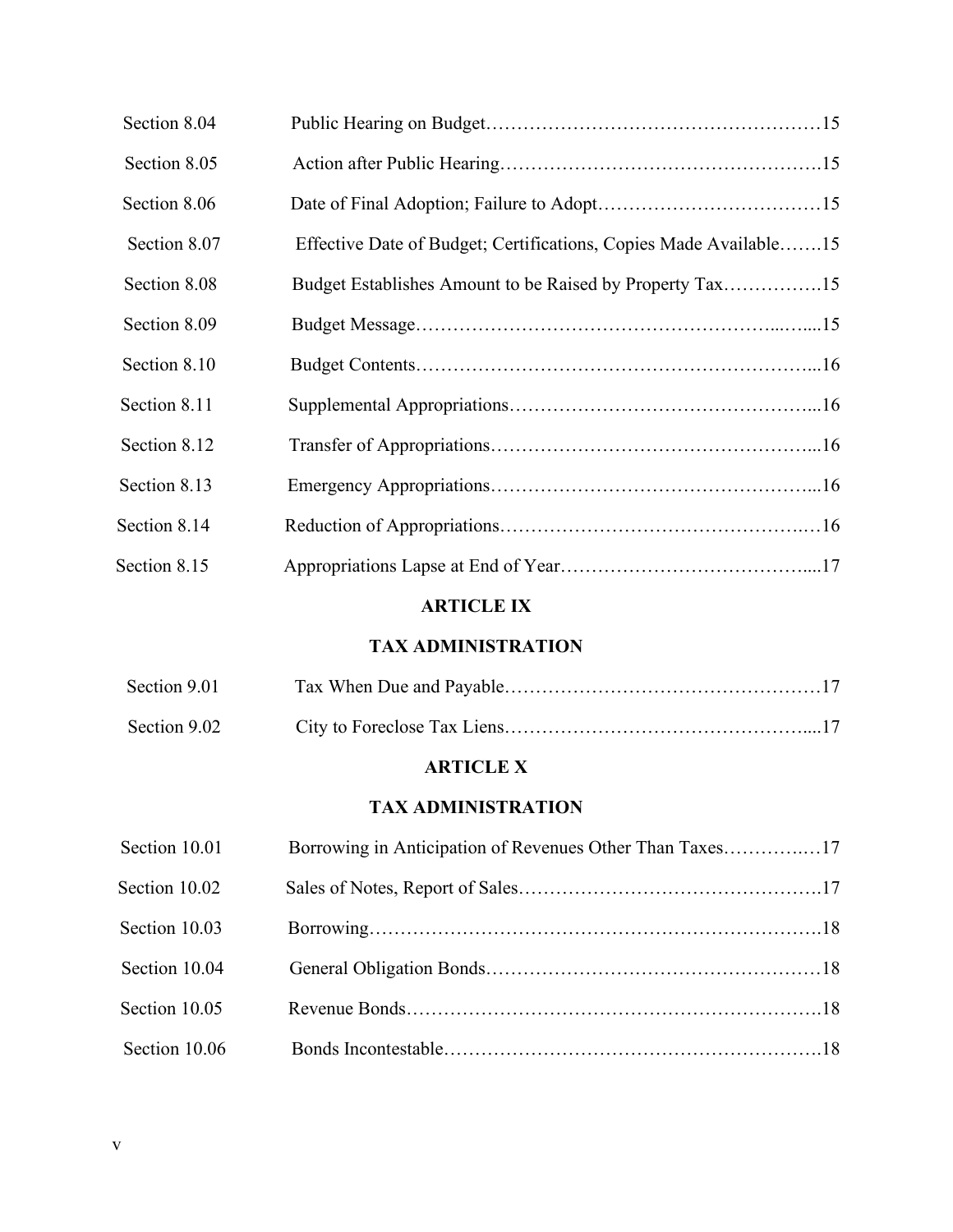| Section 8.04 |                                                                   |  |
|--------------|-------------------------------------------------------------------|--|
| Section 8.05 |                                                                   |  |
| Section 8.06 |                                                                   |  |
| Section 8.07 | Effective Date of Budget; Certifications, Copies Made Available15 |  |
| Section 8.08 |                                                                   |  |
| Section 8.09 |                                                                   |  |
| Section 8.10 |                                                                   |  |
| Section 8.11 |                                                                   |  |
| Section 8.12 |                                                                   |  |
| Section 8.13 |                                                                   |  |
| Section 8.14 |                                                                   |  |
| Section 8.15 |                                                                   |  |

# **ARTICLE IX**

# **TAX ADMINISTRATION**

| Section 9.01   |  |
|----------------|--|
| Section $9.02$ |  |

# **ARTICLE X**

# **TAX ADMINISTRATION**

| Section 10.01 | Borrowing in Anticipation of Revenues Other Than Taxes17 |  |
|---------------|----------------------------------------------------------|--|
| Section 10.02 |                                                          |  |
| Section 10.03 |                                                          |  |
| Section 10.04 |                                                          |  |
| Section 10.05 |                                                          |  |
| Section 10.06 |                                                          |  |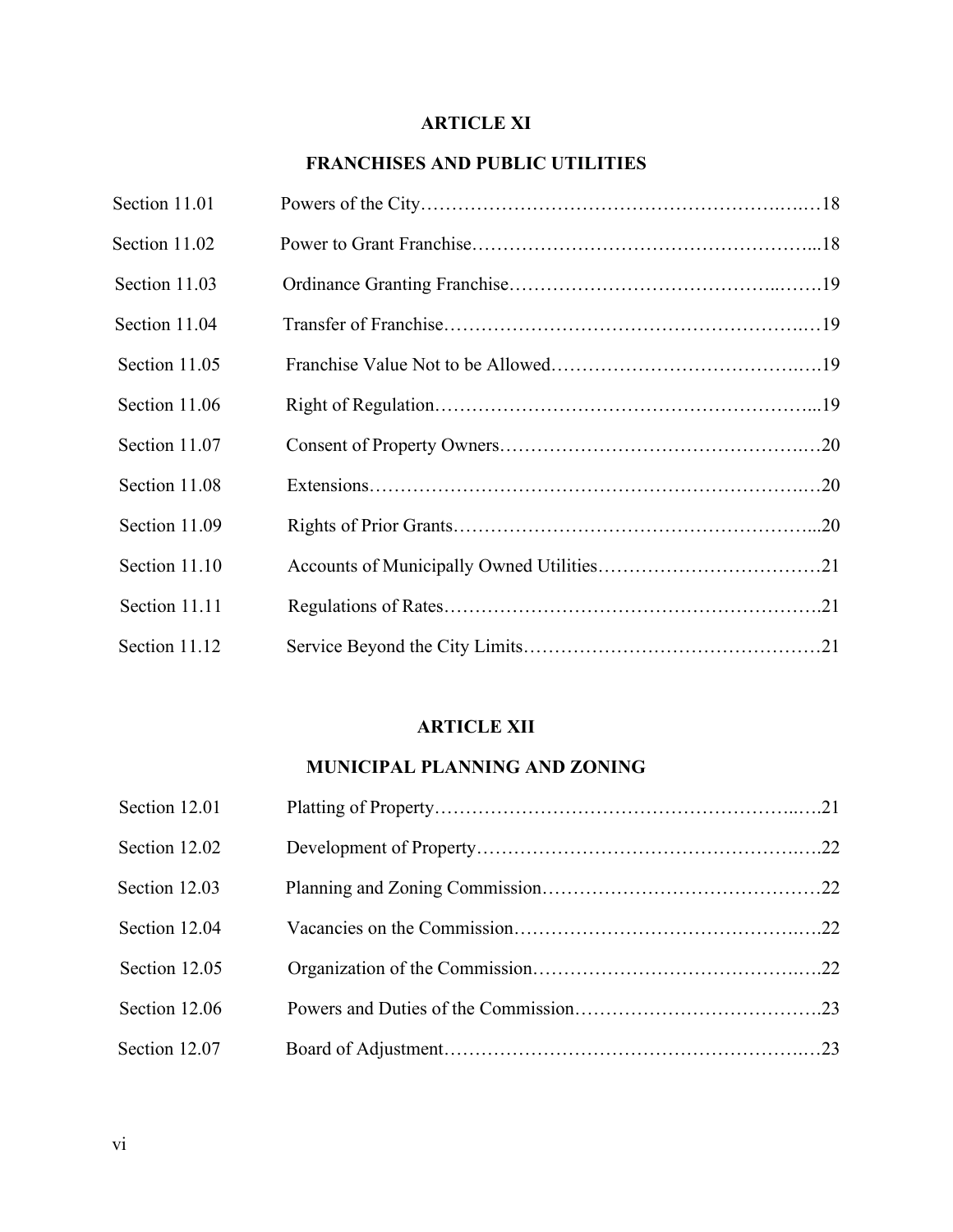# **ARTICLE XI**

# **FRANCHISES AND PUBLIC UTILITIES**

| Section 11.01 |  |
|---------------|--|
| Section 11.02 |  |
| Section 11.03 |  |
| Section 11.04 |  |
| Section 11.05 |  |
| Section 11.06 |  |
| Section 11.07 |  |
| Section 11.08 |  |
| Section 11.09 |  |
| Section 11.10 |  |
| Section 11.11 |  |
| Section 11.12 |  |

## **ARTICLE XII**

# **MUNICIPAL PLANNING AND ZONING**

| Section 12.01 |  |
|---------------|--|
| Section 12.02 |  |
| Section 12.03 |  |
| Section 12.04 |  |
| Section 12.05 |  |
| Section 12.06 |  |
| Section 12.07 |  |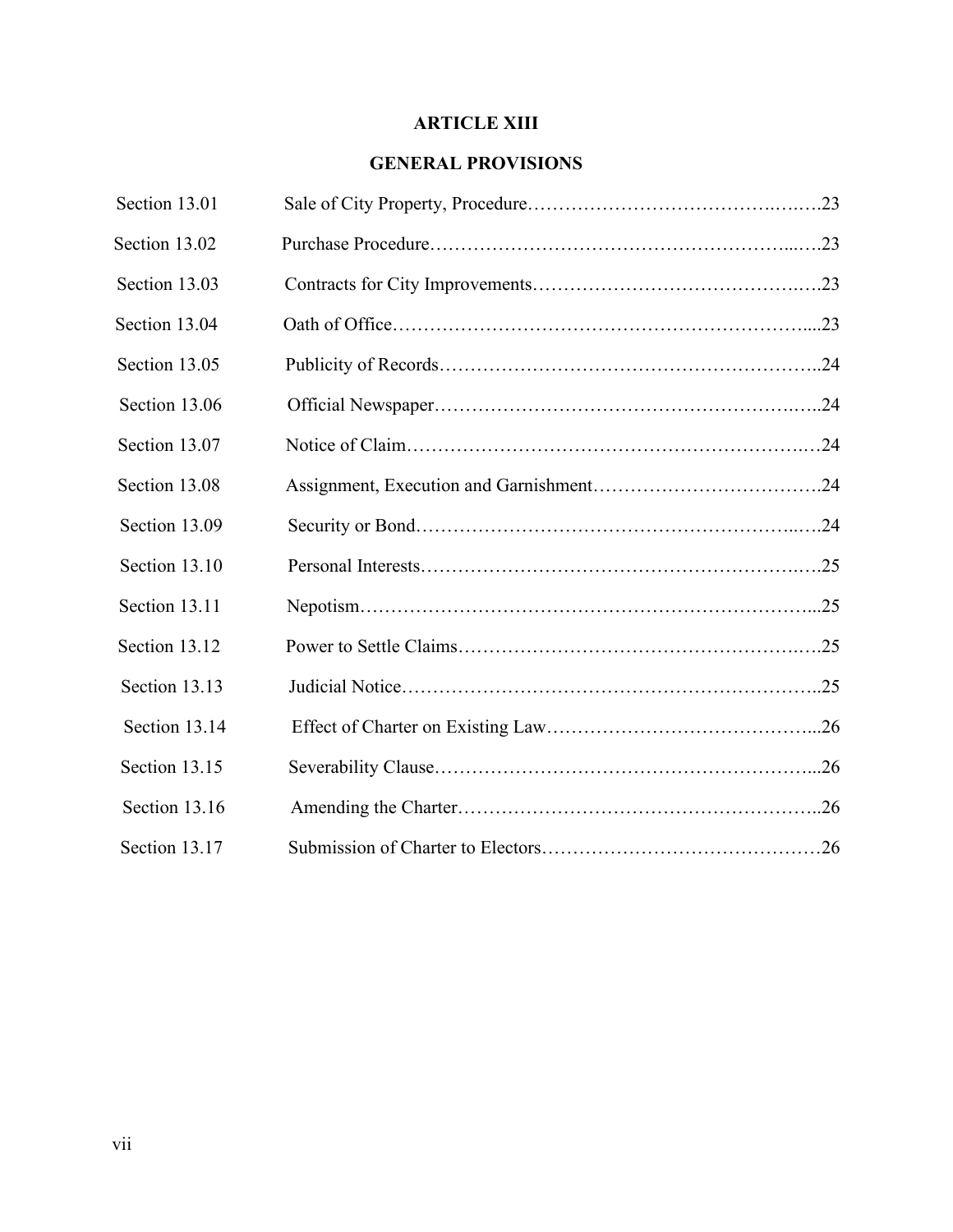# **ARTICLE XIII**

#### **GENERAL PROVISIONS**

| Section 13.01 |  |
|---------------|--|
| Section 13.02 |  |
| Section 13.03 |  |
| Section 13.04 |  |
| Section 13.05 |  |
| Section 13.06 |  |
| Section 13.07 |  |
| Section 13.08 |  |
| Section 13.09 |  |
| Section 13.10 |  |
| Section 13.11 |  |
| Section 13.12 |  |
| Section 13.13 |  |
| Section 13.14 |  |
| Section 13.15 |  |
| Section 13.16 |  |
| Section 13.17 |  |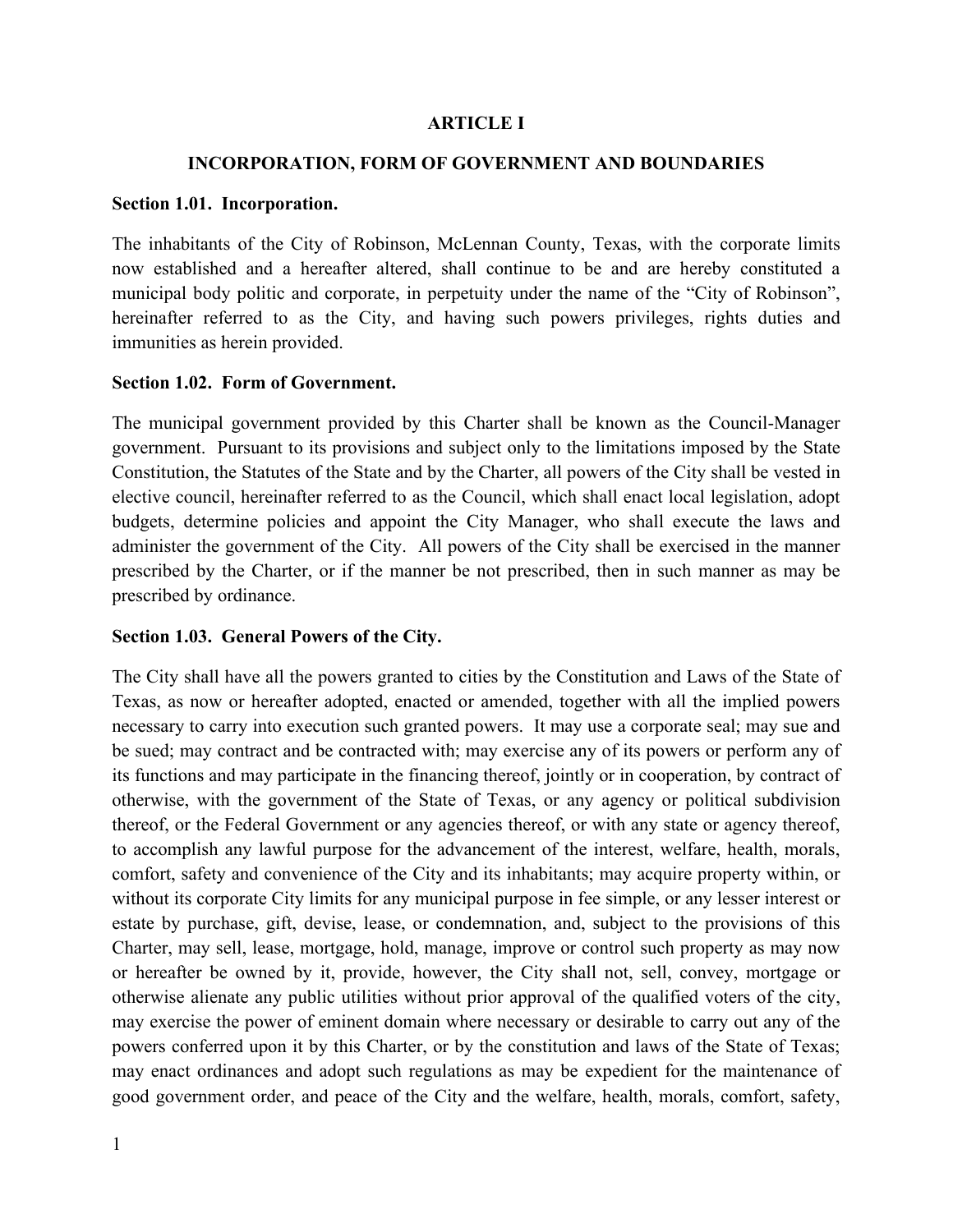#### **ARTICLE I**

#### **INCORPORATION, FORM OF GOVERNMENT AND BOUNDARIES**

#### **Section 1.01. Incorporation.**

The inhabitants of the City of Robinson, McLennan County, Texas, with the corporate limits now established and a hereafter altered, shall continue to be and are hereby constituted a municipal body politic and corporate, in perpetuity under the name of the "City of Robinson", hereinafter referred to as the City, and having such powers privileges, rights duties and immunities as herein provided.

#### **Section 1.02. Form of Government.**

The municipal government provided by this Charter shall be known as the Council-Manager government. Pursuant to its provisions and subject only to the limitations imposed by the State Constitution, the Statutes of the State and by the Charter, all powers of the City shall be vested in elective council, hereinafter referred to as the Council, which shall enact local legislation, adopt budgets, determine policies and appoint the City Manager, who shall execute the laws and administer the government of the City. All powers of the City shall be exercised in the manner prescribed by the Charter, or if the manner be not prescribed, then in such manner as may be prescribed by ordinance.

#### **Section 1.03. General Powers of the City.**

The City shall have all the powers granted to cities by the Constitution and Laws of the State of Texas, as now or hereafter adopted, enacted or amended, together with all the implied powers necessary to carry into execution such granted powers. It may use a corporate seal; may sue and be sued; may contract and be contracted with; may exercise any of its powers or perform any of its functions and may participate in the financing thereof, jointly or in cooperation, by contract of otherwise, with the government of the State of Texas, or any agency or political subdivision thereof, or the Federal Government or any agencies thereof, or with any state or agency thereof, to accomplish any lawful purpose for the advancement of the interest, welfare, health, morals, comfort, safety and convenience of the City and its inhabitants; may acquire property within, or without its corporate City limits for any municipal purpose in fee simple, or any lesser interest or estate by purchase, gift, devise, lease, or condemnation, and, subject to the provisions of this Charter, may sell, lease, mortgage, hold, manage, improve or control such property as may now or hereafter be owned by it, provide, however, the City shall not, sell, convey, mortgage or otherwise alienate any public utilities without prior approval of the qualified voters of the city, may exercise the power of eminent domain where necessary or desirable to carry out any of the powers conferred upon it by this Charter, or by the constitution and laws of the State of Texas; may enact ordinances and adopt such regulations as may be expedient for the maintenance of good government order, and peace of the City and the welfare, health, morals, comfort, safety,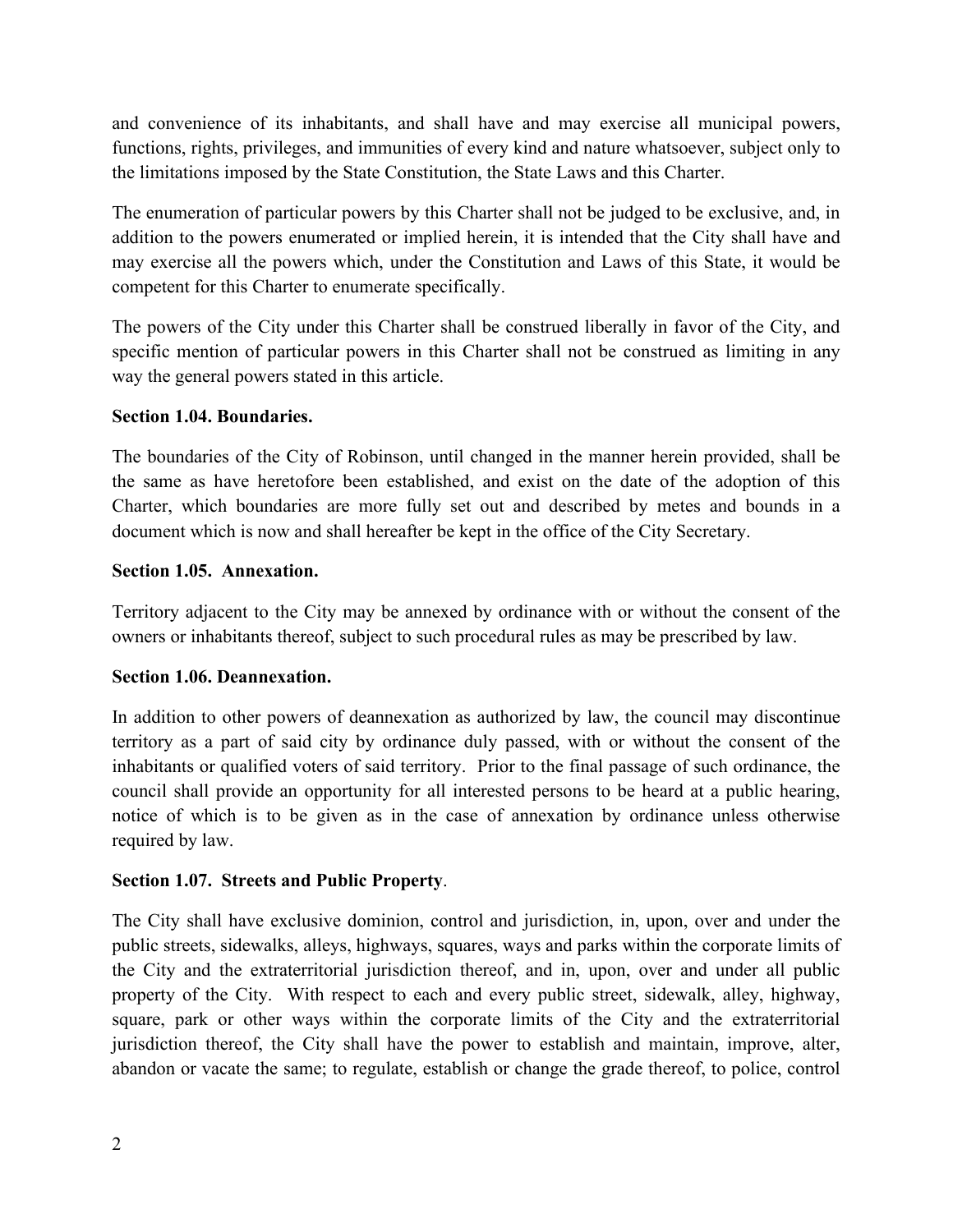and convenience of its inhabitants, and shall have and may exercise all municipal powers, functions, rights, privileges, and immunities of every kind and nature whatsoever, subject only to the limitations imposed by the State Constitution, the State Laws and this Charter.

The enumeration of particular powers by this Charter shall not be judged to be exclusive, and, in addition to the powers enumerated or implied herein, it is intended that the City shall have and may exercise all the powers which, under the Constitution and Laws of this State, it would be competent for this Charter to enumerate specifically.

The powers of the City under this Charter shall be construed liberally in favor of the City, and specific mention of particular powers in this Charter shall not be construed as limiting in any way the general powers stated in this article.

## **Section 1.04. Boundaries.**

The boundaries of the City of Robinson, until changed in the manner herein provided, shall be the same as have heretofore been established, and exist on the date of the adoption of this Charter, which boundaries are more fully set out and described by metes and bounds in a document which is now and shall hereafter be kept in the office of the City Secretary.

## **Section 1.05. Annexation.**

Territory adjacent to the City may be annexed by ordinance with or without the consent of the owners or inhabitants thereof, subject to such procedural rules as may be prescribed by law.

# **Section 1.06. Deannexation.**

In addition to other powers of deannexation as authorized by law, the council may discontinue territory as a part of said city by ordinance duly passed, with or without the consent of the inhabitants or qualified voters of said territory. Prior to the final passage of such ordinance, the council shall provide an opportunity for all interested persons to be heard at a public hearing, notice of which is to be given as in the case of annexation by ordinance unless otherwise required by law.

# **Section 1.07. Streets and Public Property**.

The City shall have exclusive dominion, control and jurisdiction, in, upon, over and under the public streets, sidewalks, alleys, highways, squares, ways and parks within the corporate limits of the City and the extraterritorial jurisdiction thereof, and in, upon, over and under all public property of the City. With respect to each and every public street, sidewalk, alley, highway, square, park or other ways within the corporate limits of the City and the extraterritorial jurisdiction thereof, the City shall have the power to establish and maintain, improve, alter, abandon or vacate the same; to regulate, establish or change the grade thereof, to police, control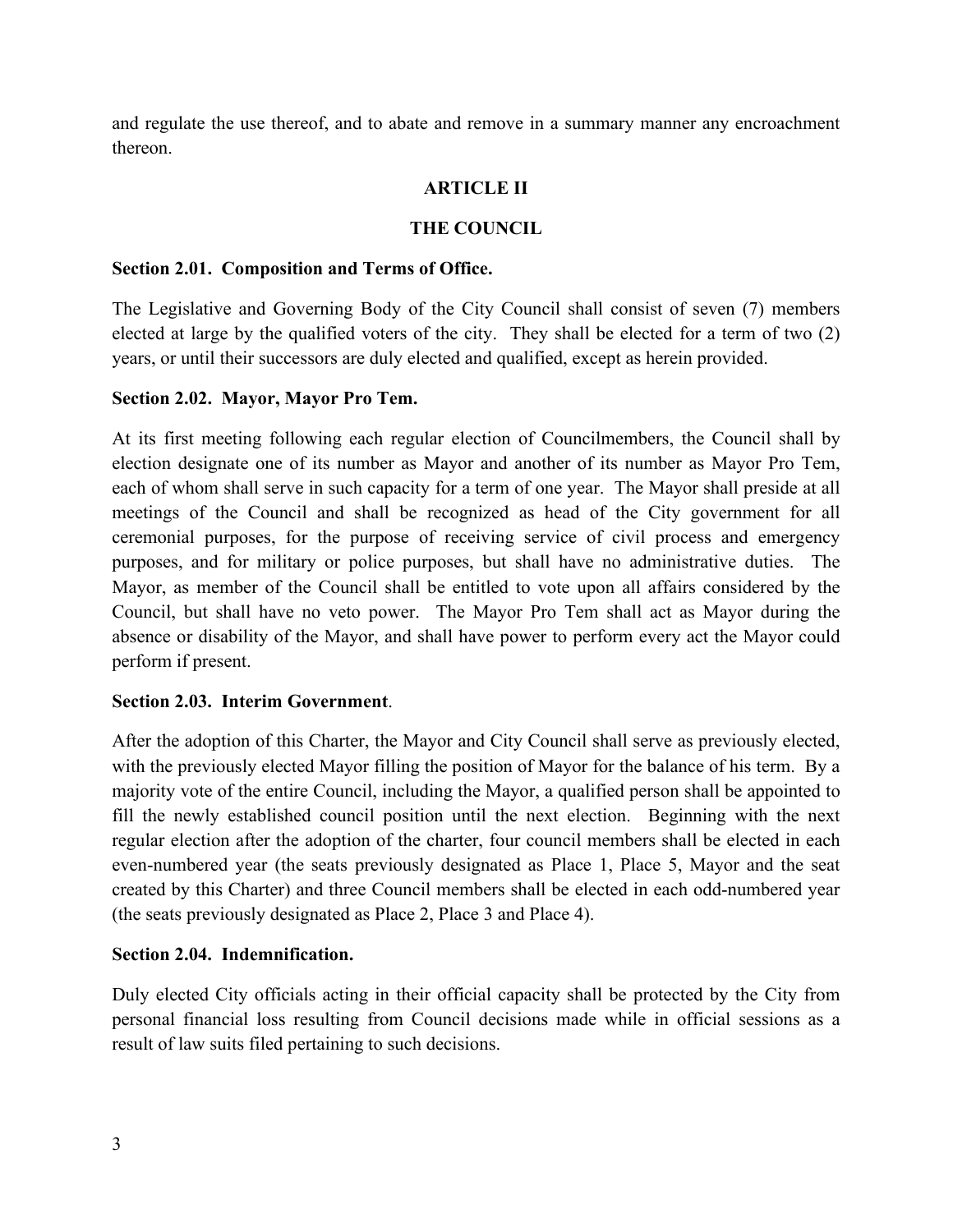and regulate the use thereof, and to abate and remove in a summary manner any encroachment thereon.

# **ARTICLE II**

#### **THE COUNCIL**

#### **Section 2.01. Composition and Terms of Office.**

The Legislative and Governing Body of the City Council shall consist of seven (7) members elected at large by the qualified voters of the city. They shall be elected for a term of two (2) years, or until their successors are duly elected and qualified, except as herein provided.

#### **Section 2.02. Mayor, Mayor Pro Tem.**

At its first meeting following each regular election of Councilmembers, the Council shall by election designate one of its number as Mayor and another of its number as Mayor Pro Tem, each of whom shall serve in such capacity for a term of one year. The Mayor shall preside at all meetings of the Council and shall be recognized as head of the City government for all ceremonial purposes, for the purpose of receiving service of civil process and emergency purposes, and for military or police purposes, but shall have no administrative duties. The Mayor, as member of the Council shall be entitled to vote upon all affairs considered by the Council, but shall have no veto power. The Mayor Pro Tem shall act as Mayor during the absence or disability of the Mayor, and shall have power to perform every act the Mayor could perform if present.

#### **Section 2.03. Interim Government**.

After the adoption of this Charter, the Mayor and City Council shall serve as previously elected, with the previously elected Mayor filling the position of Mayor for the balance of his term. By a majority vote of the entire Council, including the Mayor, a qualified person shall be appointed to fill the newly established council position until the next election. Beginning with the next regular election after the adoption of the charter, four council members shall be elected in each even-numbered year (the seats previously designated as Place 1, Place 5, Mayor and the seat created by this Charter) and three Council members shall be elected in each odd-numbered year (the seats previously designated as Place 2, Place 3 and Place 4).

#### **Section 2.04. Indemnification.**

Duly elected City officials acting in their official capacity shall be protected by the City from personal financial loss resulting from Council decisions made while in official sessions as a result of law suits filed pertaining to such decisions.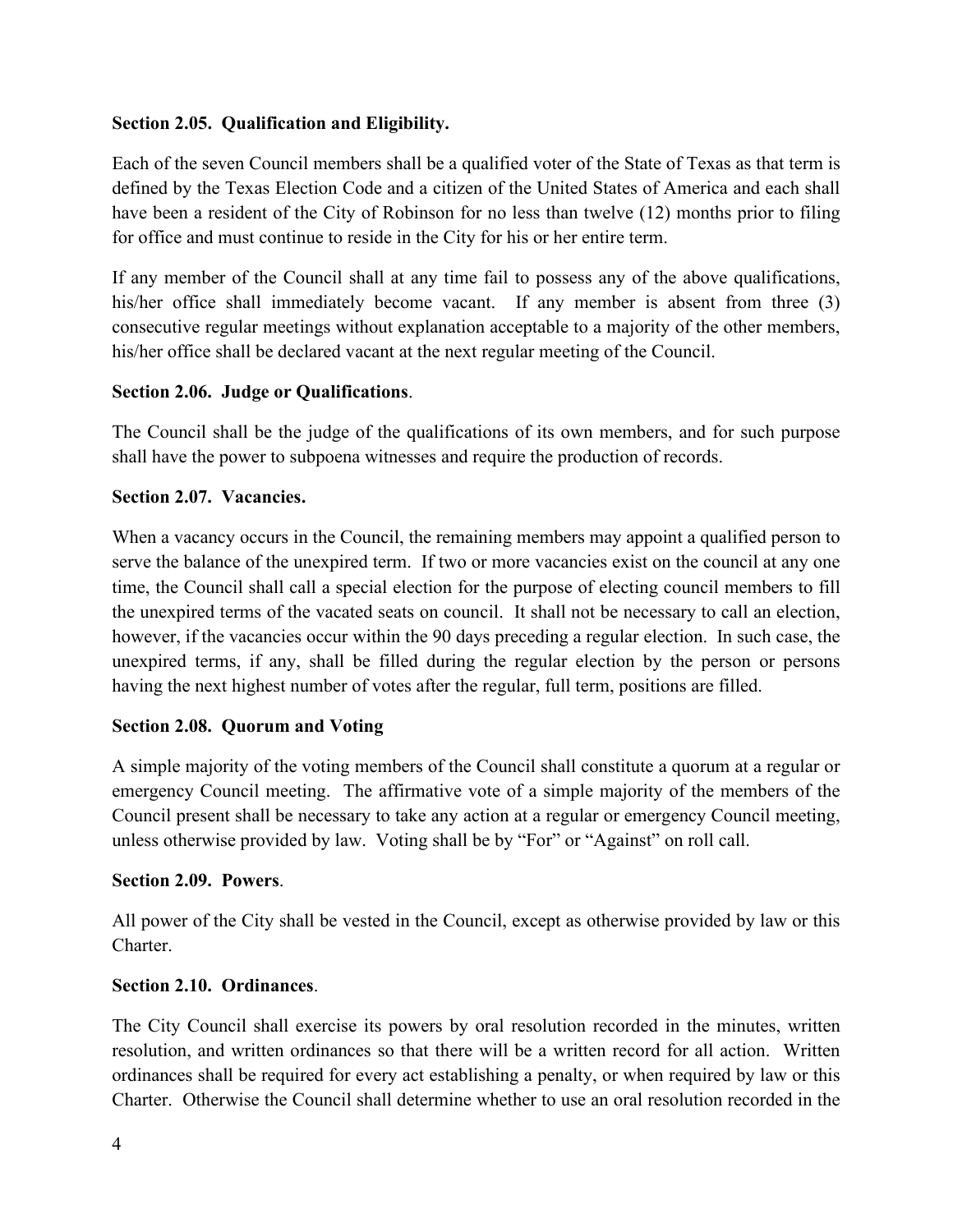## **Section 2.05. Qualification and Eligibility.**

Each of the seven Council members shall be a qualified voter of the State of Texas as that term is defined by the Texas Election Code and a citizen of the United States of America and each shall have been a resident of the City of Robinson for no less than twelve (12) months prior to filing for office and must continue to reside in the City for his or her entire term.

If any member of the Council shall at any time fail to possess any of the above qualifications, his/her office shall immediately become vacant. If any member is absent from three (3) consecutive regular meetings without explanation acceptable to a majority of the other members, his/her office shall be declared vacant at the next regular meeting of the Council.

#### **Section 2.06. Judge or Qualifications**.

The Council shall be the judge of the qualifications of its own members, and for such purpose shall have the power to subpoena witnesses and require the production of records.

#### **Section 2.07. Vacancies.**

When a vacancy occurs in the Council, the remaining members may appoint a qualified person to serve the balance of the unexpired term. If two or more vacancies exist on the council at any one time, the Council shall call a special election for the purpose of electing council members to fill the unexpired terms of the vacated seats on council. It shall not be necessary to call an election, however, if the vacancies occur within the 90 days preceding a regular election. In such case, the unexpired terms, if any, shall be filled during the regular election by the person or persons having the next highest number of votes after the regular, full term, positions are filled.

#### **Section 2.08. Quorum and Voting**

A simple majority of the voting members of the Council shall constitute a quorum at a regular or emergency Council meeting. The affirmative vote of a simple majority of the members of the Council present shall be necessary to take any action at a regular or emergency Council meeting, unless otherwise provided by law. Voting shall be by "For" or "Against" on roll call.

#### **Section 2.09. Powers**.

All power of the City shall be vested in the Council, except as otherwise provided by law or this Charter.

#### **Section 2.10. Ordinances**.

The City Council shall exercise its powers by oral resolution recorded in the minutes, written resolution, and written ordinances so that there will be a written record for all action. Written ordinances shall be required for every act establishing a penalty, or when required by law or this Charter. Otherwise the Council shall determine whether to use an oral resolution recorded in the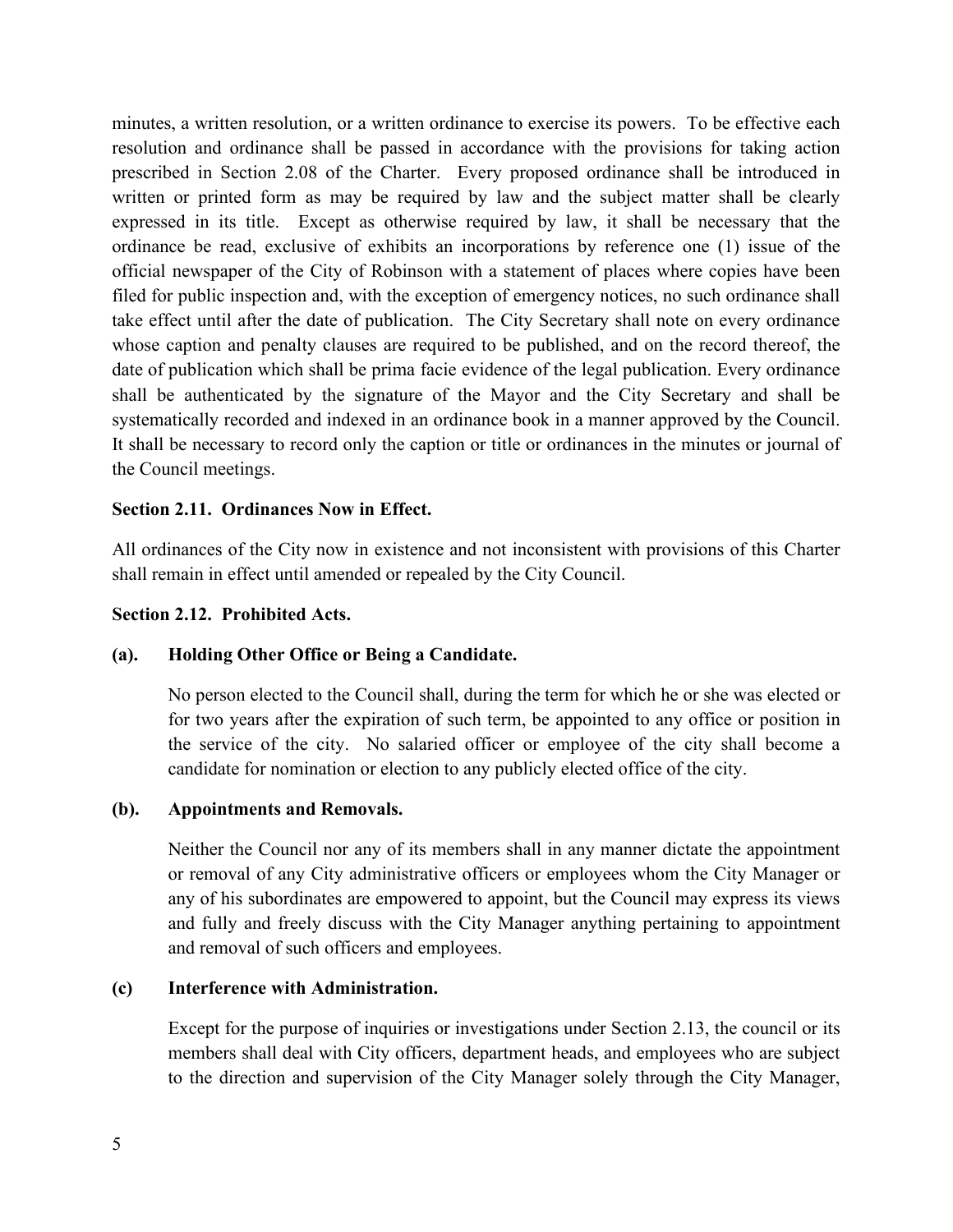minutes, a written resolution, or a written ordinance to exercise its powers. To be effective each resolution and ordinance shall be passed in accordance with the provisions for taking action prescribed in Section 2.08 of the Charter. Every proposed ordinance shall be introduced in written or printed form as may be required by law and the subject matter shall be clearly expressed in its title. Except as otherwise required by law, it shall be necessary that the ordinance be read, exclusive of exhibits an incorporations by reference one (1) issue of the official newspaper of the City of Robinson with a statement of places where copies have been filed for public inspection and, with the exception of emergency notices, no such ordinance shall take effect until after the date of publication. The City Secretary shall note on every ordinance whose caption and penalty clauses are required to be published, and on the record thereof, the date of publication which shall be prima facie evidence of the legal publication. Every ordinance shall be authenticated by the signature of the Mayor and the City Secretary and shall be systematically recorded and indexed in an ordinance book in a manner approved by the Council. It shall be necessary to record only the caption or title or ordinances in the minutes or journal of the Council meetings.

#### **Section 2.11. Ordinances Now in Effect.**

All ordinances of the City now in existence and not inconsistent with provisions of this Charter shall remain in effect until amended or repealed by the City Council.

#### **Section 2.12. Prohibited Acts.**

#### **(a). Holding Other Office or Being a Candidate.**

No person elected to the Council shall, during the term for which he or she was elected or for two years after the expiration of such term, be appointed to any office or position in the service of the city. No salaried officer or employee of the city shall become a candidate for nomination or election to any publicly elected office of the city.

#### **(b). Appointments and Removals.**

Neither the Council nor any of its members shall in any manner dictate the appointment or removal of any City administrative officers or employees whom the City Manager or any of his subordinates are empowered to appoint, but the Council may express its views and fully and freely discuss with the City Manager anything pertaining to appointment and removal of such officers and employees.

#### **(c) Interference with Administration.**

Except for the purpose of inquiries or investigations under Section 2.13, the council or its members shall deal with City officers, department heads, and employees who are subject to the direction and supervision of the City Manager solely through the City Manager,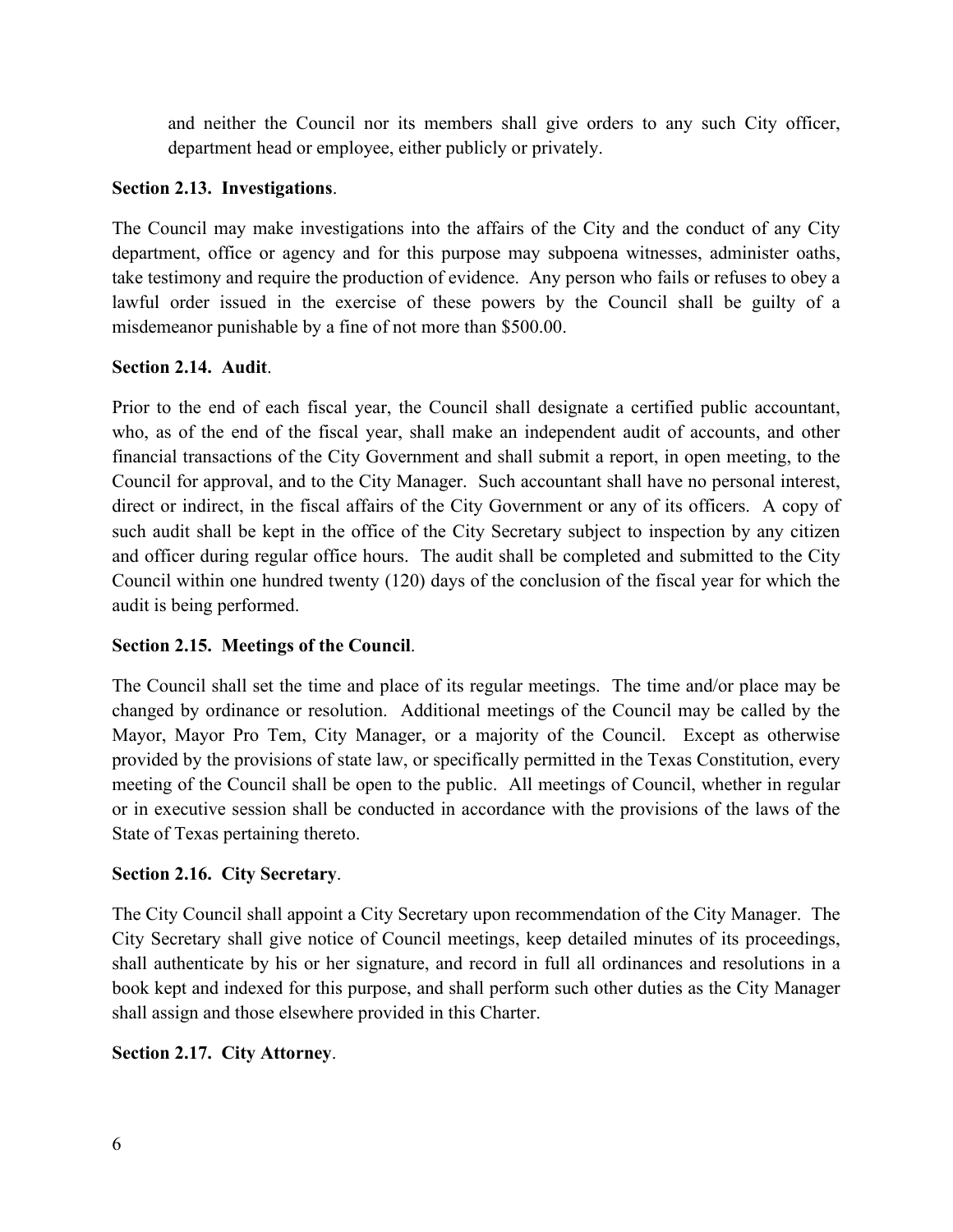and neither the Council nor its members shall give orders to any such City officer, department head or employee, either publicly or privately.

# **Section 2.13. Investigations**.

The Council may make investigations into the affairs of the City and the conduct of any City department, office or agency and for this purpose may subpoena witnesses, administer oaths, take testimony and require the production of evidence. Any person who fails or refuses to obey a lawful order issued in the exercise of these powers by the Council shall be guilty of a misdemeanor punishable by a fine of not more than \$500.00.

## **Section 2.14. Audit**.

Prior to the end of each fiscal year, the Council shall designate a certified public accountant, who, as of the end of the fiscal year, shall make an independent audit of accounts, and other financial transactions of the City Government and shall submit a report, in open meeting, to the Council for approval, and to the City Manager. Such accountant shall have no personal interest, direct or indirect, in the fiscal affairs of the City Government or any of its officers. A copy of such audit shall be kept in the office of the City Secretary subject to inspection by any citizen and officer during regular office hours. The audit shall be completed and submitted to the City Council within one hundred twenty (120) days of the conclusion of the fiscal year for which the audit is being performed.

# **Section 2.15. Meetings of the Council**.

The Council shall set the time and place of its regular meetings. The time and/or place may be changed by ordinance or resolution. Additional meetings of the Council may be called by the Mayor, Mayor Pro Tem, City Manager, or a majority of the Council. Except as otherwise provided by the provisions of state law, or specifically permitted in the Texas Constitution, every meeting of the Council shall be open to the public. All meetings of Council, whether in regular or in executive session shall be conducted in accordance with the provisions of the laws of the State of Texas pertaining thereto.

#### **Section 2.16. City Secretary**.

The City Council shall appoint a City Secretary upon recommendation of the City Manager. The City Secretary shall give notice of Council meetings, keep detailed minutes of its proceedings, shall authenticate by his or her signature, and record in full all ordinances and resolutions in a book kept and indexed for this purpose, and shall perform such other duties as the City Manager shall assign and those elsewhere provided in this Charter.

# **Section 2.17. City Attorney**.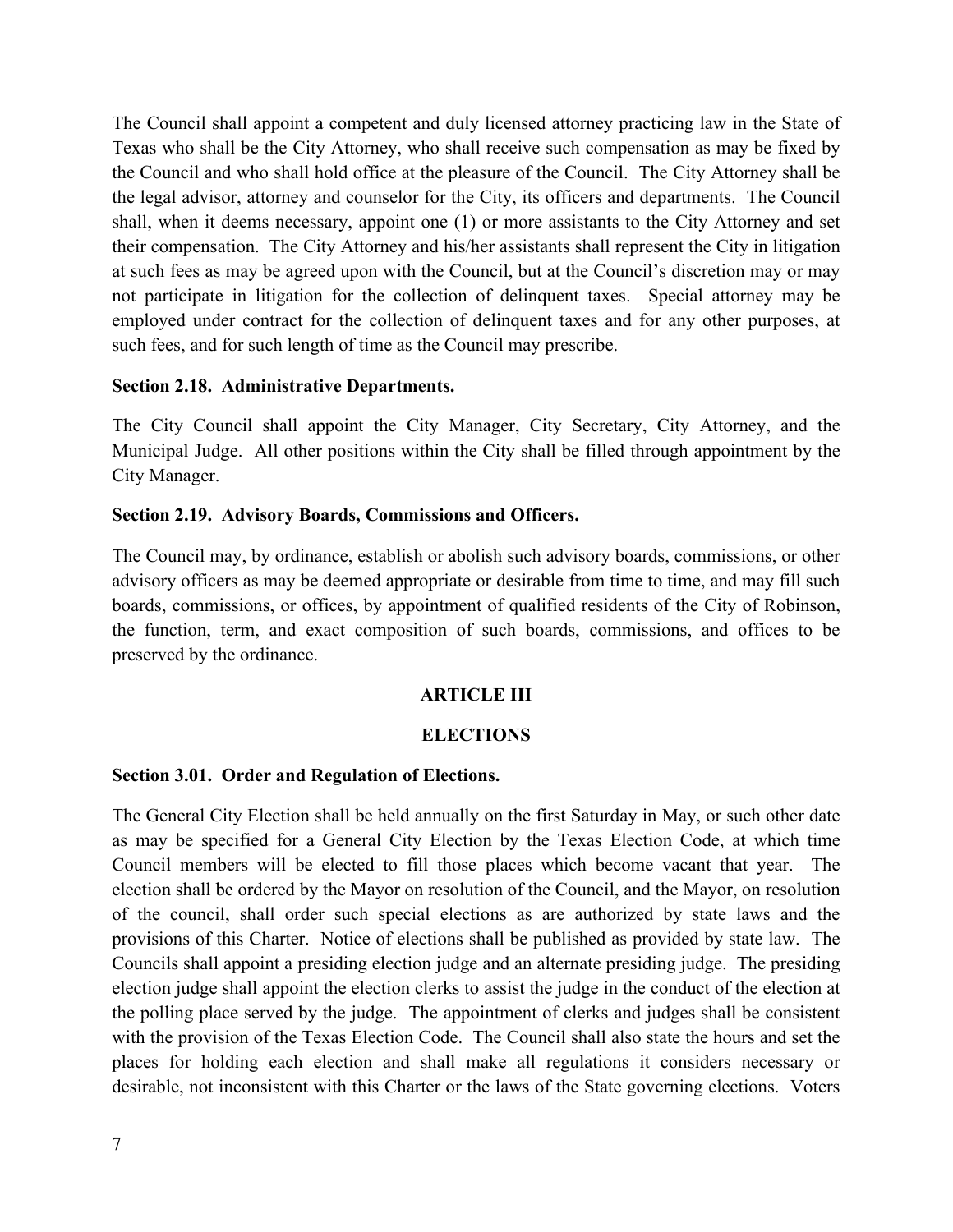The Council shall appoint a competent and duly licensed attorney practicing law in the State of Texas who shall be the City Attorney, who shall receive such compensation as may be fixed by the Council and who shall hold office at the pleasure of the Council. The City Attorney shall be the legal advisor, attorney and counselor for the City, its officers and departments. The Council shall, when it deems necessary, appoint one (1) or more assistants to the City Attorney and set their compensation. The City Attorney and his/her assistants shall represent the City in litigation at such fees as may be agreed upon with the Council, but at the Council's discretion may or may not participate in litigation for the collection of delinquent taxes. Special attorney may be employed under contract for the collection of delinquent taxes and for any other purposes, at such fees, and for such length of time as the Council may prescribe.

#### **Section 2.18. Administrative Departments.**

The City Council shall appoint the City Manager, City Secretary, City Attorney, and the Municipal Judge. All other positions within the City shall be filled through appointment by the City Manager.

#### **Section 2.19. Advisory Boards, Commissions and Officers.**

The Council may, by ordinance, establish or abolish such advisory boards, commissions, or other advisory officers as may be deemed appropriate or desirable from time to time, and may fill such boards, commissions, or offices, by appointment of qualified residents of the City of Robinson, the function, term, and exact composition of such boards, commissions, and offices to be preserved by the ordinance.

#### **ARTICLE III**

#### **ELECTIONS**

#### **Section 3.01. Order and Regulation of Elections.**

The General City Election shall be held annually on the first Saturday in May, or such other date as may be specified for a General City Election by the Texas Election Code, at which time Council members will be elected to fill those places which become vacant that year. The election shall be ordered by the Mayor on resolution of the Council, and the Mayor, on resolution of the council, shall order such special elections as are authorized by state laws and the provisions of this Charter. Notice of elections shall be published as provided by state law. The Councils shall appoint a presiding election judge and an alternate presiding judge. The presiding election judge shall appoint the election clerks to assist the judge in the conduct of the election at the polling place served by the judge. The appointment of clerks and judges shall be consistent with the provision of the Texas Election Code. The Council shall also state the hours and set the places for holding each election and shall make all regulations it considers necessary or desirable, not inconsistent with this Charter or the laws of the State governing elections. Voters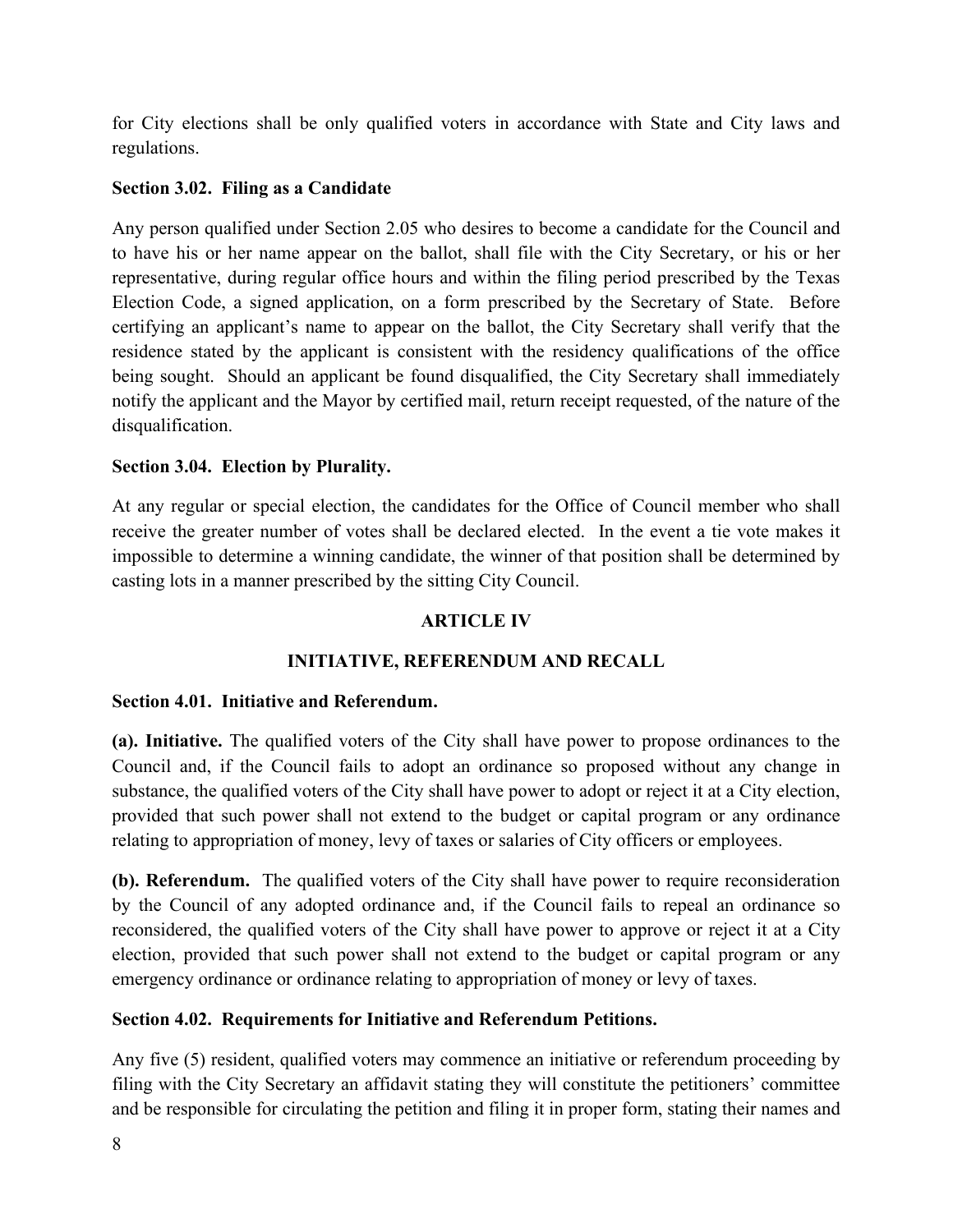for City elections shall be only qualified voters in accordance with State and City laws and regulations.

# **Section 3.02. Filing as a Candidate**

Any person qualified under Section 2.05 who desires to become a candidate for the Council and to have his or her name appear on the ballot, shall file with the City Secretary, or his or her representative, during regular office hours and within the filing period prescribed by the Texas Election Code, a signed application, on a form prescribed by the Secretary of State. Before certifying an applicant's name to appear on the ballot, the City Secretary shall verify that the residence stated by the applicant is consistent with the residency qualifications of the office being sought. Should an applicant be found disqualified, the City Secretary shall immediately notify the applicant and the Mayor by certified mail, return receipt requested, of the nature of the disqualification.

# **Section 3.04. Election by Plurality.**

At any regular or special election, the candidates for the Office of Council member who shall receive the greater number of votes shall be declared elected. In the event a tie vote makes it impossible to determine a winning candidate, the winner of that position shall be determined by casting lots in a manner prescribed by the sitting City Council.

# **ARTICLE IV**

# **INITIATIVE, REFERENDUM AND RECALL**

# **Section 4.01. Initiative and Referendum.**

**(a). Initiative.** The qualified voters of the City shall have power to propose ordinances to the Council and, if the Council fails to adopt an ordinance so proposed without any change in substance, the qualified voters of the City shall have power to adopt or reject it at a City election, provided that such power shall not extend to the budget or capital program or any ordinance relating to appropriation of money, levy of taxes or salaries of City officers or employees.

**(b). Referendum.** The qualified voters of the City shall have power to require reconsideration by the Council of any adopted ordinance and, if the Council fails to repeal an ordinance so reconsidered, the qualified voters of the City shall have power to approve or reject it at a City election, provided that such power shall not extend to the budget or capital program or any emergency ordinance or ordinance relating to appropriation of money or levy of taxes.

# **Section 4.02. Requirements for Initiative and Referendum Petitions.**

Any five (5) resident, qualified voters may commence an initiative or referendum proceeding by filing with the City Secretary an affidavit stating they will constitute the petitioners' committee and be responsible for circulating the petition and filing it in proper form, stating their names and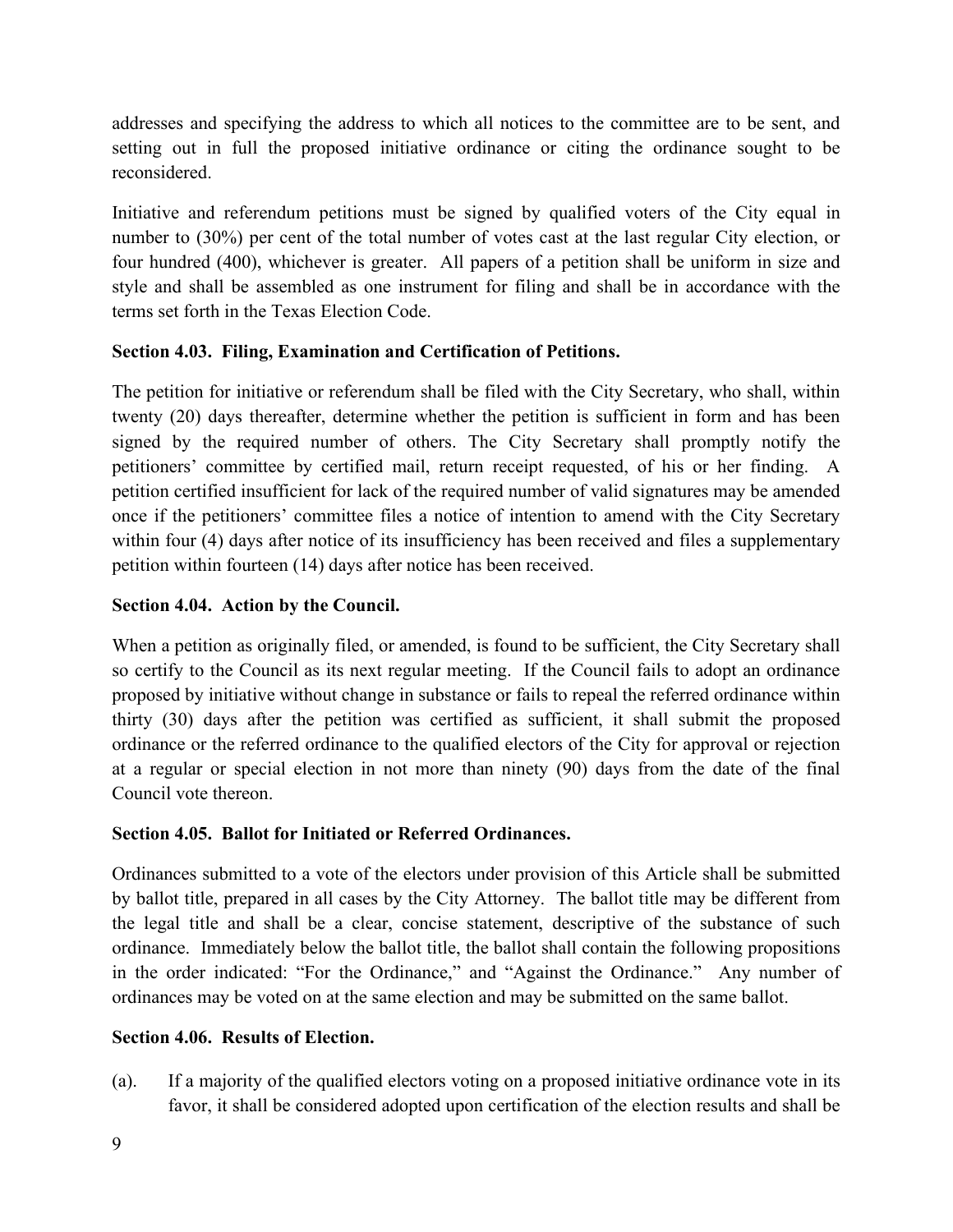addresses and specifying the address to which all notices to the committee are to be sent, and setting out in full the proposed initiative ordinance or citing the ordinance sought to be reconsidered.

Initiative and referendum petitions must be signed by qualified voters of the City equal in number to (30%) per cent of the total number of votes cast at the last regular City election, or four hundred (400), whichever is greater. All papers of a petition shall be uniform in size and style and shall be assembled as one instrument for filing and shall be in accordance with the terms set forth in the Texas Election Code.

## **Section 4.03. Filing, Examination and Certification of Petitions.**

The petition for initiative or referendum shall be filed with the City Secretary, who shall, within twenty (20) days thereafter, determine whether the petition is sufficient in form and has been signed by the required number of others. The City Secretary shall promptly notify the petitioners' committee by certified mail, return receipt requested, of his or her finding. A petition certified insufficient for lack of the required number of valid signatures may be amended once if the petitioners' committee files a notice of intention to amend with the City Secretary within four (4) days after notice of its insufficiency has been received and files a supplementary petition within fourteen (14) days after notice has been received.

## **Section 4.04. Action by the Council.**

When a petition as originally filed, or amended, is found to be sufficient, the City Secretary shall so certify to the Council as its next regular meeting. If the Council fails to adopt an ordinance proposed by initiative without change in substance or fails to repeal the referred ordinance within thirty (30) days after the petition was certified as sufficient, it shall submit the proposed ordinance or the referred ordinance to the qualified electors of the City for approval or rejection at a regular or special election in not more than ninety (90) days from the date of the final Council vote thereon.

# **Section 4.05. Ballot for Initiated or Referred Ordinances.**

Ordinances submitted to a vote of the electors under provision of this Article shall be submitted by ballot title, prepared in all cases by the City Attorney. The ballot title may be different from the legal title and shall be a clear, concise statement, descriptive of the substance of such ordinance. Immediately below the ballot title, the ballot shall contain the following propositions in the order indicated: "For the Ordinance," and "Against the Ordinance." Any number of ordinances may be voted on at the same election and may be submitted on the same ballot.

#### **Section 4.06. Results of Election.**

(a). If a majority of the qualified electors voting on a proposed initiative ordinance vote in its favor, it shall be considered adopted upon certification of the election results and shall be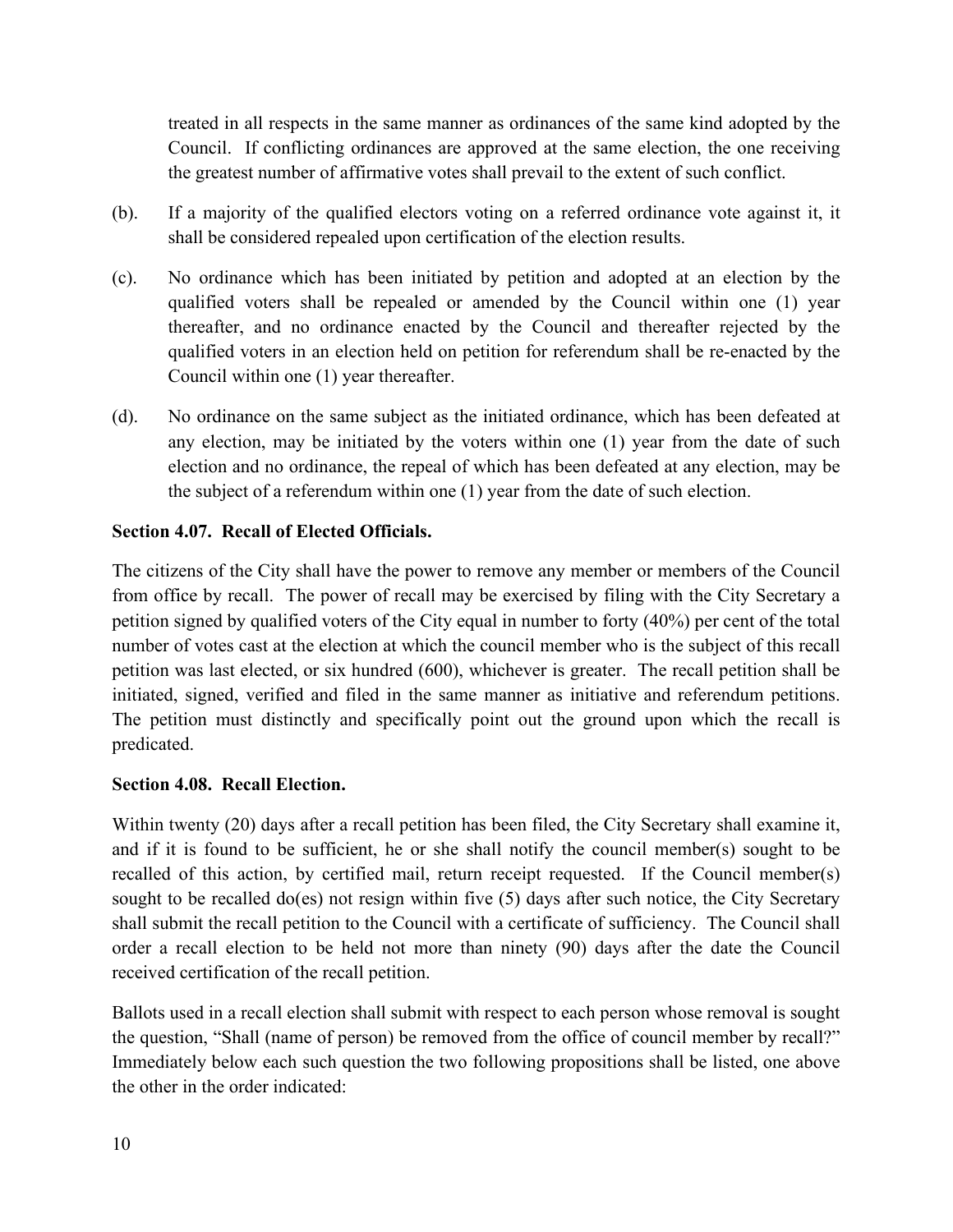treated in all respects in the same manner as ordinances of the same kind adopted by the Council. If conflicting ordinances are approved at the same election, the one receiving the greatest number of affirmative votes shall prevail to the extent of such conflict.

- (b). If a majority of the qualified electors voting on a referred ordinance vote against it, it shall be considered repealed upon certification of the election results.
- (c). No ordinance which has been initiated by petition and adopted at an election by the qualified voters shall be repealed or amended by the Council within one (1) year thereafter, and no ordinance enacted by the Council and thereafter rejected by the qualified voters in an election held on petition for referendum shall be re-enacted by the Council within one (1) year thereafter.
- (d). No ordinance on the same subject as the initiated ordinance, which has been defeated at any election, may be initiated by the voters within one (1) year from the date of such election and no ordinance, the repeal of which has been defeated at any election, may be the subject of a referendum within one (1) year from the date of such election.

## **Section 4.07. Recall of Elected Officials.**

The citizens of the City shall have the power to remove any member or members of the Council from office by recall. The power of recall may be exercised by filing with the City Secretary a petition signed by qualified voters of the City equal in number to forty (40%) per cent of the total number of votes cast at the election at which the council member who is the subject of this recall petition was last elected, or six hundred (600), whichever is greater. The recall petition shall be initiated, signed, verified and filed in the same manner as initiative and referendum petitions. The petition must distinctly and specifically point out the ground upon which the recall is predicated.

# **Section 4.08. Recall Election.**

Within twenty (20) days after a recall petition has been filed, the City Secretary shall examine it, and if it is found to be sufficient, he or she shall notify the council member(s) sought to be recalled of this action, by certified mail, return receipt requested. If the Council member(s) sought to be recalled do(es) not resign within five (5) days after such notice, the City Secretary shall submit the recall petition to the Council with a certificate of sufficiency. The Council shall order a recall election to be held not more than ninety (90) days after the date the Council received certification of the recall petition.

Ballots used in a recall election shall submit with respect to each person whose removal is sought the question, "Shall (name of person) be removed from the office of council member by recall?" Immediately below each such question the two following propositions shall be listed, one above the other in the order indicated: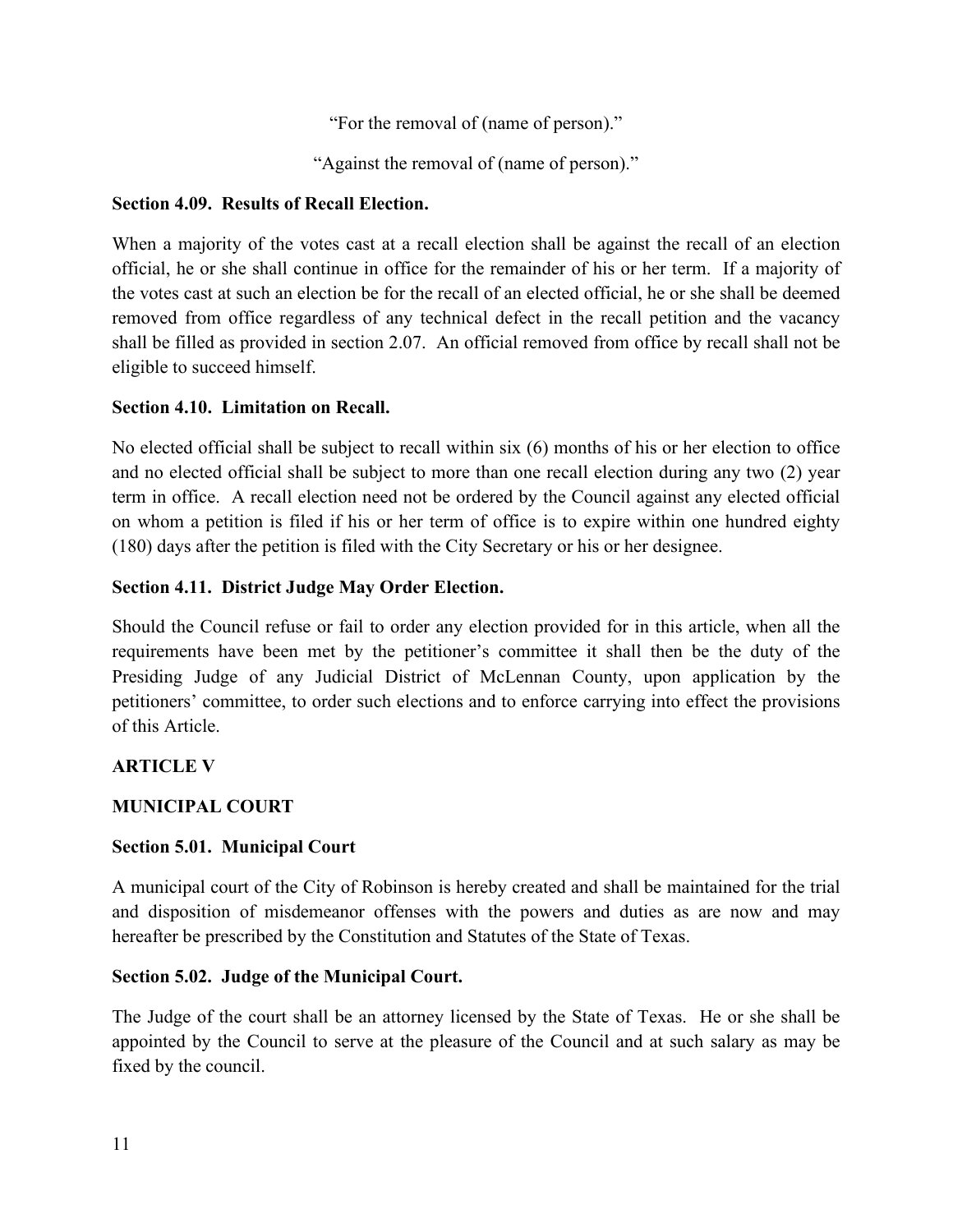"For the removal of (name of person)."

"Against the removal of (name of person)."

#### **Section 4.09. Results of Recall Election.**

When a majority of the votes cast at a recall election shall be against the recall of an election official, he or she shall continue in office for the remainder of his or her term. If a majority of the votes cast at such an election be for the recall of an elected official, he or she shall be deemed removed from office regardless of any technical defect in the recall petition and the vacancy shall be filled as provided in section 2.07. An official removed from office by recall shall not be eligible to succeed himself.

## **Section 4.10. Limitation on Recall.**

No elected official shall be subject to recall within six (6) months of his or her election to office and no elected official shall be subject to more than one recall election during any two (2) year term in office. A recall election need not be ordered by the Council against any elected official on whom a petition is filed if his or her term of office is to expire within one hundred eighty (180) days after the petition is filed with the City Secretary or his or her designee.

## **Section 4.11. District Judge May Order Election.**

Should the Council refuse or fail to order any election provided for in this article, when all the requirements have been met by the petitioner's committee it shall then be the duty of the Presiding Judge of any Judicial District of McLennan County, upon application by the petitioners' committee, to order such elections and to enforce carrying into effect the provisions of this Article.

# **ARTICLE V**

# **MUNICIPAL COURT**

#### **Section 5.01. Municipal Court**

A municipal court of the City of Robinson is hereby created and shall be maintained for the trial and disposition of misdemeanor offenses with the powers and duties as are now and may hereafter be prescribed by the Constitution and Statutes of the State of Texas.

#### **Section 5.02. Judge of the Municipal Court.**

The Judge of the court shall be an attorney licensed by the State of Texas. He or she shall be appointed by the Council to serve at the pleasure of the Council and at such salary as may be fixed by the council.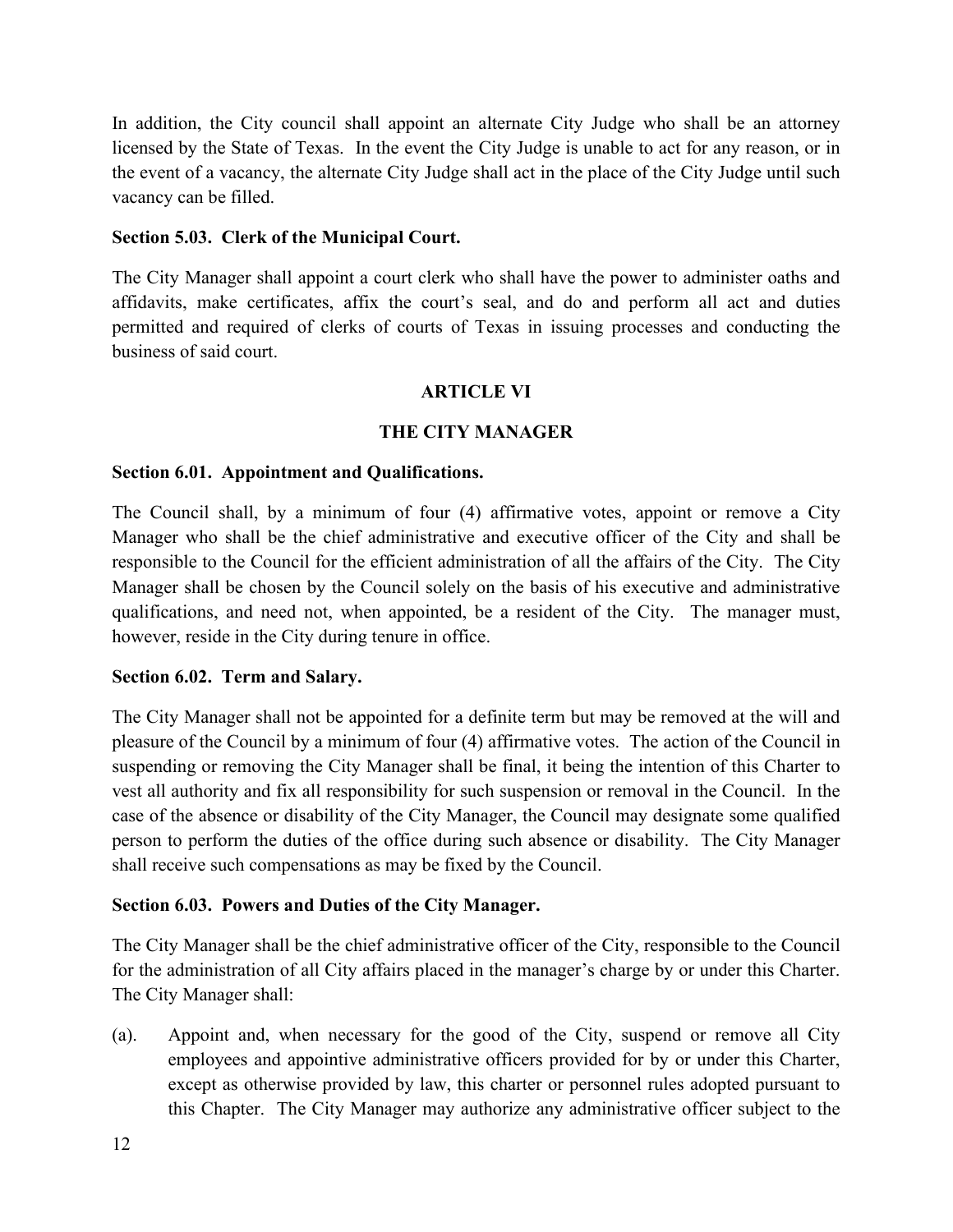In addition, the City council shall appoint an alternate City Judge who shall be an attorney licensed by the State of Texas. In the event the City Judge is unable to act for any reason, or in the event of a vacancy, the alternate City Judge shall act in the place of the City Judge until such vacancy can be filled.

#### **Section 5.03. Clerk of the Municipal Court.**

The City Manager shall appoint a court clerk who shall have the power to administer oaths and affidavits, make certificates, affix the court's seal, and do and perform all act and duties permitted and required of clerks of courts of Texas in issuing processes and conducting the business of said court.

#### **ARTICLE VI**

#### **THE CITY MANAGER**

#### **Section 6.01. Appointment and Qualifications.**

The Council shall, by a minimum of four (4) affirmative votes, appoint or remove a City Manager who shall be the chief administrative and executive officer of the City and shall be responsible to the Council for the efficient administration of all the affairs of the City. The City Manager shall be chosen by the Council solely on the basis of his executive and administrative qualifications, and need not, when appointed, be a resident of the City. The manager must, however, reside in the City during tenure in office.

#### **Section 6.02. Term and Salary.**

The City Manager shall not be appointed for a definite term but may be removed at the will and pleasure of the Council by a minimum of four (4) affirmative votes. The action of the Council in suspending or removing the City Manager shall be final, it being the intention of this Charter to vest all authority and fix all responsibility for such suspension or removal in the Council. In the case of the absence or disability of the City Manager, the Council may designate some qualified person to perform the duties of the office during such absence or disability. The City Manager shall receive such compensations as may be fixed by the Council.

#### **Section 6.03. Powers and Duties of the City Manager.**

The City Manager shall be the chief administrative officer of the City, responsible to the Council for the administration of all City affairs placed in the manager's charge by or under this Charter. The City Manager shall:

(a). Appoint and, when necessary for the good of the City, suspend or remove all City employees and appointive administrative officers provided for by or under this Charter, except as otherwise provided by law, this charter or personnel rules adopted pursuant to this Chapter. The City Manager may authorize any administrative officer subject to the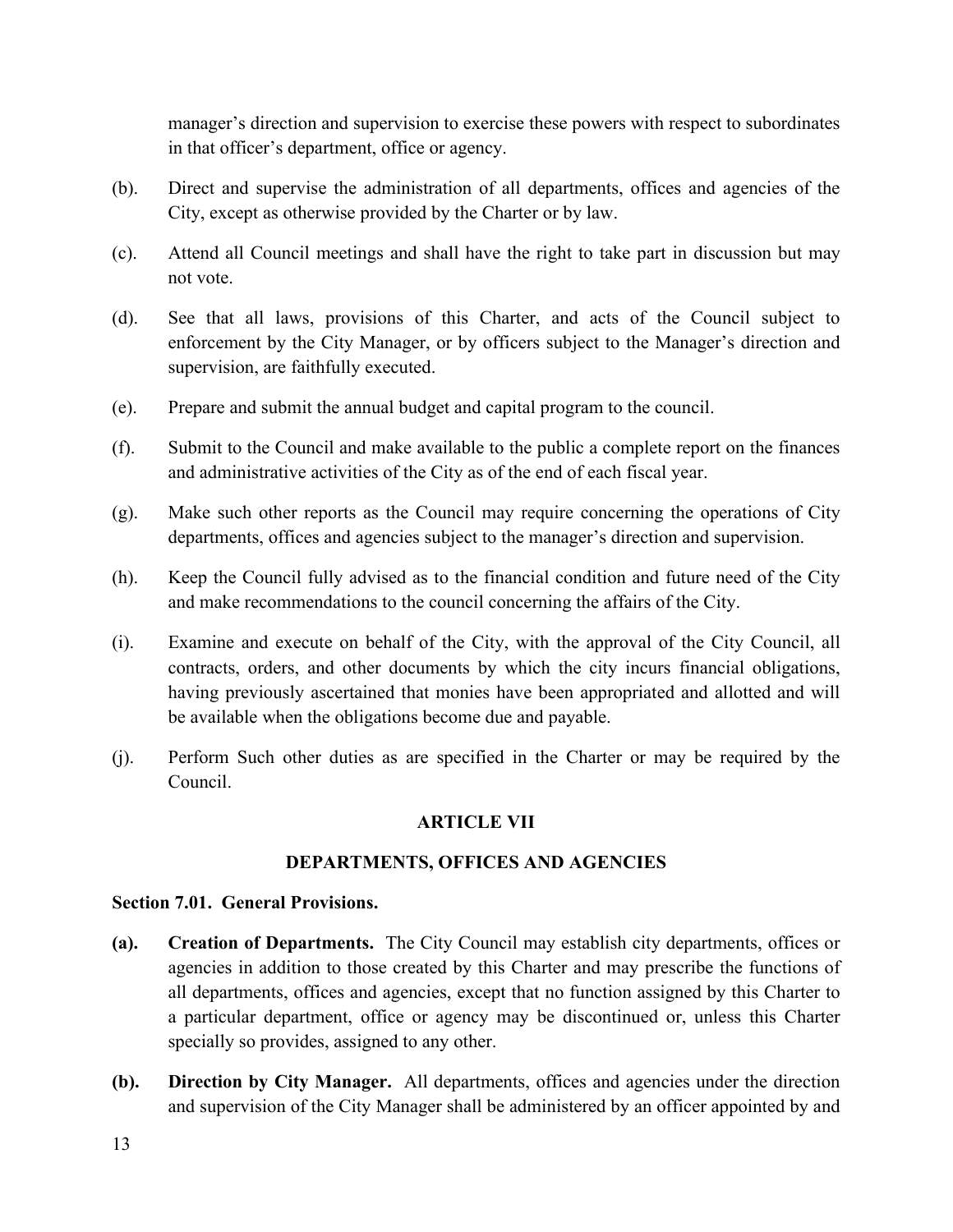manager's direction and supervision to exercise these powers with respect to subordinates in that officer's department, office or agency.

- (b). Direct and supervise the administration of all departments, offices and agencies of the City, except as otherwise provided by the Charter or by law.
- (c). Attend all Council meetings and shall have the right to take part in discussion but may not vote.
- (d). See that all laws, provisions of this Charter, and acts of the Council subject to enforcement by the City Manager, or by officers subject to the Manager's direction and supervision, are faithfully executed.
- (e). Prepare and submit the annual budget and capital program to the council.
- (f). Submit to the Council and make available to the public a complete report on the finances and administrative activities of the City as of the end of each fiscal year.
- (g). Make such other reports as the Council may require concerning the operations of City departments, offices and agencies subject to the manager's direction and supervision.
- (h). Keep the Council fully advised as to the financial condition and future need of the City and make recommendations to the council concerning the affairs of the City.
- (i). Examine and execute on behalf of the City, with the approval of the City Council, all contracts, orders, and other documents by which the city incurs financial obligations, having previously ascertained that monies have been appropriated and allotted and will be available when the obligations become due and payable.
- (j). Perform Such other duties as are specified in the Charter or may be required by the Council.

#### **ARTICLE VII**

#### **DEPARTMENTS, OFFICES AND AGENCIES**

#### **Section 7.01. General Provisions.**

- **(a). Creation of Departments.** The City Council may establish city departments, offices or agencies in addition to those created by this Charter and may prescribe the functions of all departments, offices and agencies, except that no function assigned by this Charter to a particular department, office or agency may be discontinued or, unless this Charter specially so provides, assigned to any other.
- **(b). Direction by City Manager.** All departments, offices and agencies under the direction and supervision of the City Manager shall be administered by an officer appointed by and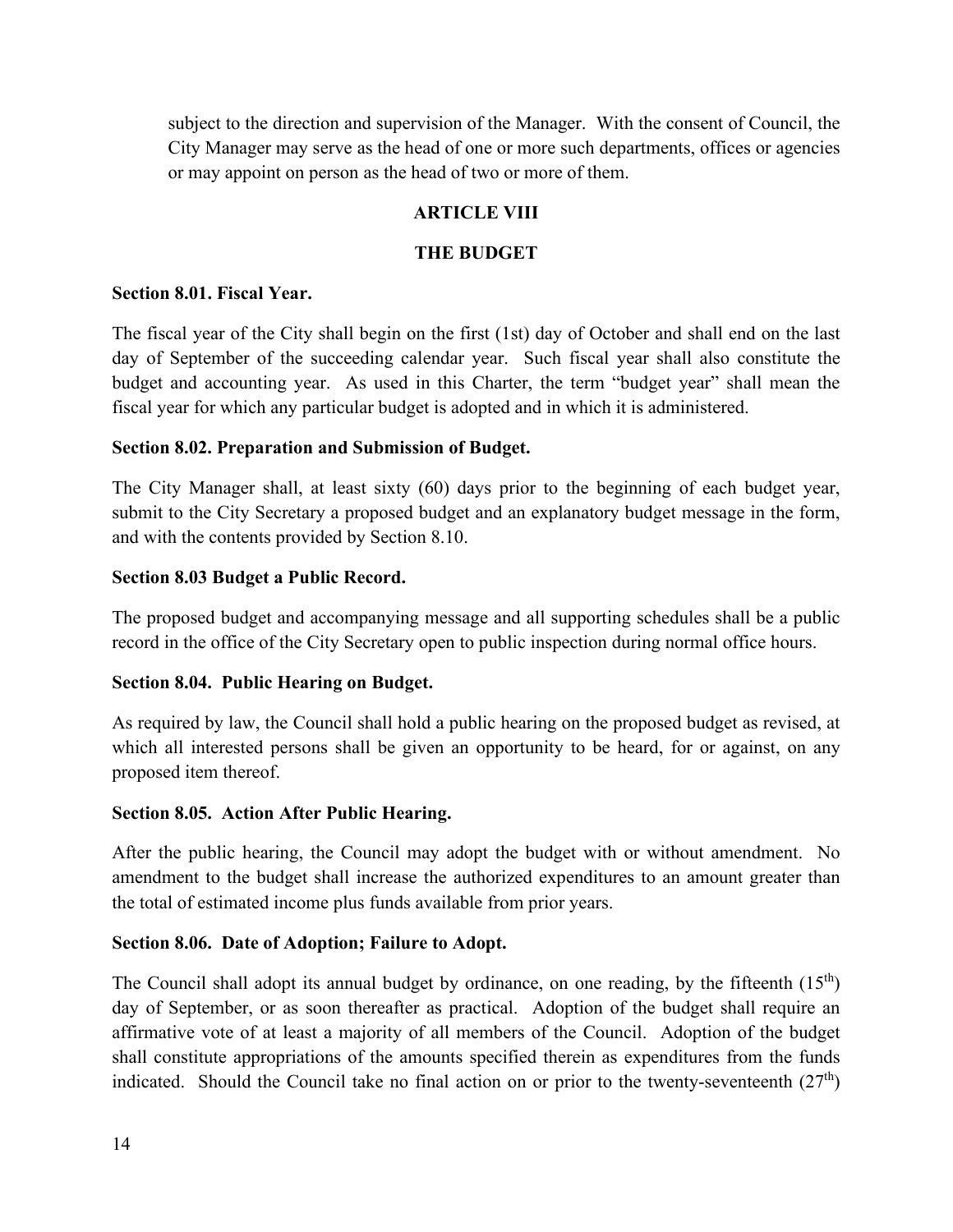subject to the direction and supervision of the Manager. With the consent of Council, the City Manager may serve as the head of one or more such departments, offices or agencies or may appoint on person as the head of two or more of them.

# **ARTICLE VIII**

#### **THE BUDGET**

#### **Section 8.01. Fiscal Year.**

The fiscal year of the City shall begin on the first (1st) day of October and shall end on the last day of September of the succeeding calendar year. Such fiscal year shall also constitute the budget and accounting year. As used in this Charter, the term "budget year" shall mean the fiscal year for which any particular budget is adopted and in which it is administered.

#### **Section 8.02. Preparation and Submission of Budget.**

The City Manager shall, at least sixty (60) days prior to the beginning of each budget year, submit to the City Secretary a proposed budget and an explanatory budget message in the form, and with the contents provided by Section 8.10.

#### **Section 8.03 Budget a Public Record.**

The proposed budget and accompanying message and all supporting schedules shall be a public record in the office of the City Secretary open to public inspection during normal office hours.

#### **Section 8.04. Public Hearing on Budget.**

As required by law, the Council shall hold a public hearing on the proposed budget as revised, at which all interested persons shall be given an opportunity to be heard, for or against, on any proposed item thereof.

#### **Section 8.05. Action After Public Hearing.**

After the public hearing, the Council may adopt the budget with or without amendment. No amendment to the budget shall increase the authorized expenditures to an amount greater than the total of estimated income plus funds available from prior years.

#### **Section 8.06. Date of Adoption; Failure to Adopt.**

The Council shall adopt its annual budget by ordinance, on one reading, by the fifteenth  $(15<sup>th</sup>)$ day of September, or as soon thereafter as practical. Adoption of the budget shall require an affirmative vote of at least a majority of all members of the Council. Adoption of the budget shall constitute appropriations of the amounts specified therein as expenditures from the funds indicated. Should the Council take no final action on or prior to the twenty-seventeenth  $(27<sup>th</sup>)$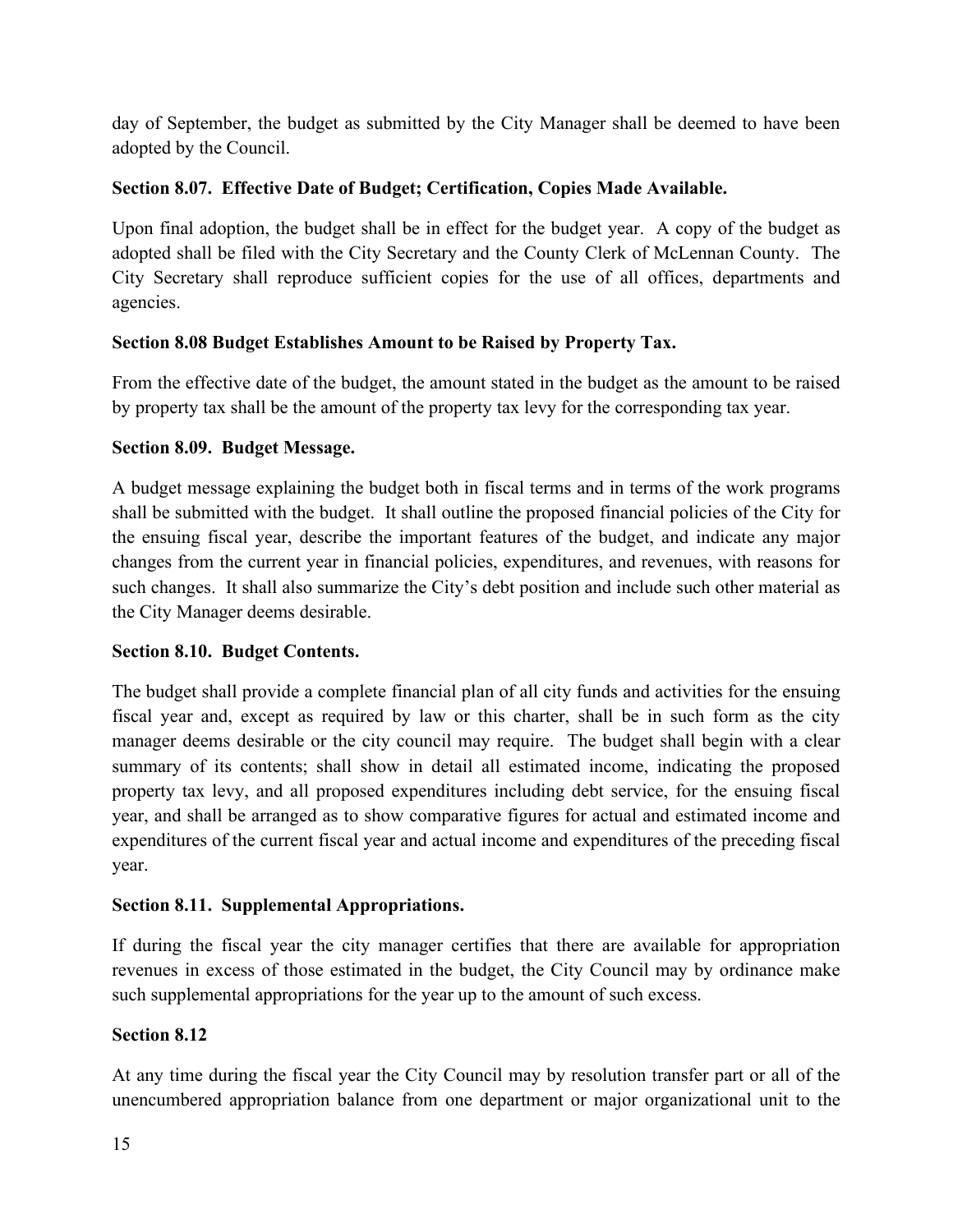day of September, the budget as submitted by the City Manager shall be deemed to have been adopted by the Council.

# **Section 8.07. Effective Date of Budget; Certification, Copies Made Available.**

Upon final adoption, the budget shall be in effect for the budget year. A copy of the budget as adopted shall be filed with the City Secretary and the County Clerk of McLennan County. The City Secretary shall reproduce sufficient copies for the use of all offices, departments and agencies.

# **Section 8.08 Budget Establishes Amount to be Raised by Property Tax.**

From the effective date of the budget, the amount stated in the budget as the amount to be raised by property tax shall be the amount of the property tax levy for the corresponding tax year.

# **Section 8.09. Budget Message.**

A budget message explaining the budget both in fiscal terms and in terms of the work programs shall be submitted with the budget. It shall outline the proposed financial policies of the City for the ensuing fiscal year, describe the important features of the budget, and indicate any major changes from the current year in financial policies, expenditures, and revenues, with reasons for such changes. It shall also summarize the City's debt position and include such other material as the City Manager deems desirable.

# **Section 8.10. Budget Contents.**

The budget shall provide a complete financial plan of all city funds and activities for the ensuing fiscal year and, except as required by law or this charter, shall be in such form as the city manager deems desirable or the city council may require. The budget shall begin with a clear summary of its contents; shall show in detail all estimated income, indicating the proposed property tax levy, and all proposed expenditures including debt service, for the ensuing fiscal year, and shall be arranged as to show comparative figures for actual and estimated income and expenditures of the current fiscal year and actual income and expenditures of the preceding fiscal year.

# **Section 8.11. Supplemental Appropriations.**

If during the fiscal year the city manager certifies that there are available for appropriation revenues in excess of those estimated in the budget, the City Council may by ordinance make such supplemental appropriations for the year up to the amount of such excess.

# **Section 8.12**

At any time during the fiscal year the City Council may by resolution transfer part or all of the unencumbered appropriation balance from one department or major organizational unit to the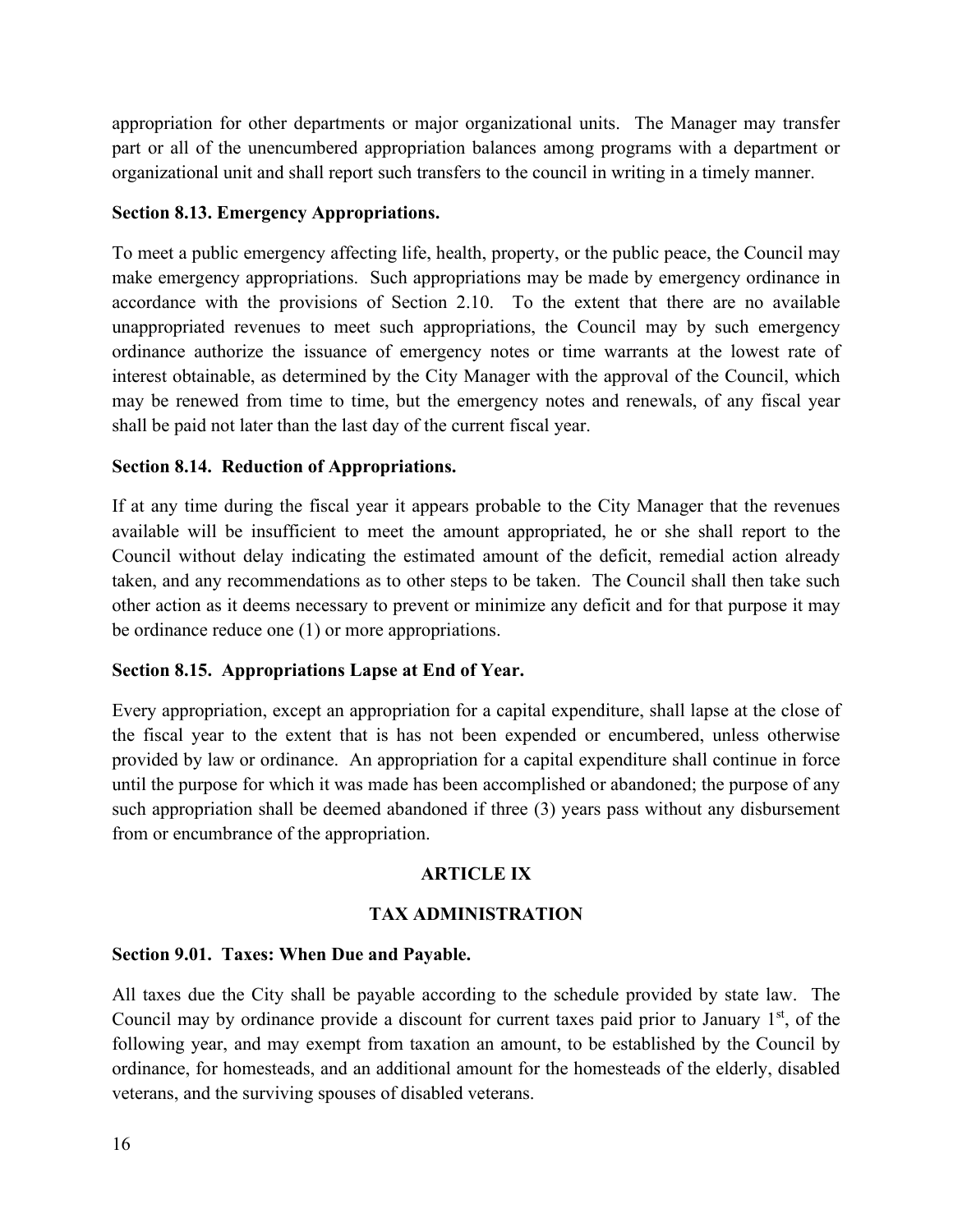appropriation for other departments or major organizational units. The Manager may transfer part or all of the unencumbered appropriation balances among programs with a department or organizational unit and shall report such transfers to the council in writing in a timely manner.

#### **Section 8.13. Emergency Appropriations.**

To meet a public emergency affecting life, health, property, or the public peace, the Council may make emergency appropriations. Such appropriations may be made by emergency ordinance in accordance with the provisions of Section 2.10. To the extent that there are no available unappropriated revenues to meet such appropriations, the Council may by such emergency ordinance authorize the issuance of emergency notes or time warrants at the lowest rate of interest obtainable, as determined by the City Manager with the approval of the Council, which may be renewed from time to time, but the emergency notes and renewals, of any fiscal year shall be paid not later than the last day of the current fiscal year.

## **Section 8.14. Reduction of Appropriations.**

If at any time during the fiscal year it appears probable to the City Manager that the revenues available will be insufficient to meet the amount appropriated, he or she shall report to the Council without delay indicating the estimated amount of the deficit, remedial action already taken, and any recommendations as to other steps to be taken. The Council shall then take such other action as it deems necessary to prevent or minimize any deficit and for that purpose it may be ordinance reduce one (1) or more appropriations.

#### **Section 8.15. Appropriations Lapse at End of Year.**

Every appropriation, except an appropriation for a capital expenditure, shall lapse at the close of the fiscal year to the extent that is has not been expended or encumbered, unless otherwise provided by law or ordinance. An appropriation for a capital expenditure shall continue in force until the purpose for which it was made has been accomplished or abandoned; the purpose of any such appropriation shall be deemed abandoned if three (3) years pass without any disbursement from or encumbrance of the appropriation.

# **ARTICLE IX**

#### **TAX ADMINISTRATION**

#### **Section 9.01. Taxes: When Due and Payable.**

All taxes due the City shall be payable according to the schedule provided by state law. The Council may by ordinance provide a discount for current taxes paid prior to January  $1<sup>st</sup>$ , of the following year, and may exempt from taxation an amount, to be established by the Council by ordinance, for homesteads, and an additional amount for the homesteads of the elderly, disabled veterans, and the surviving spouses of disabled veterans.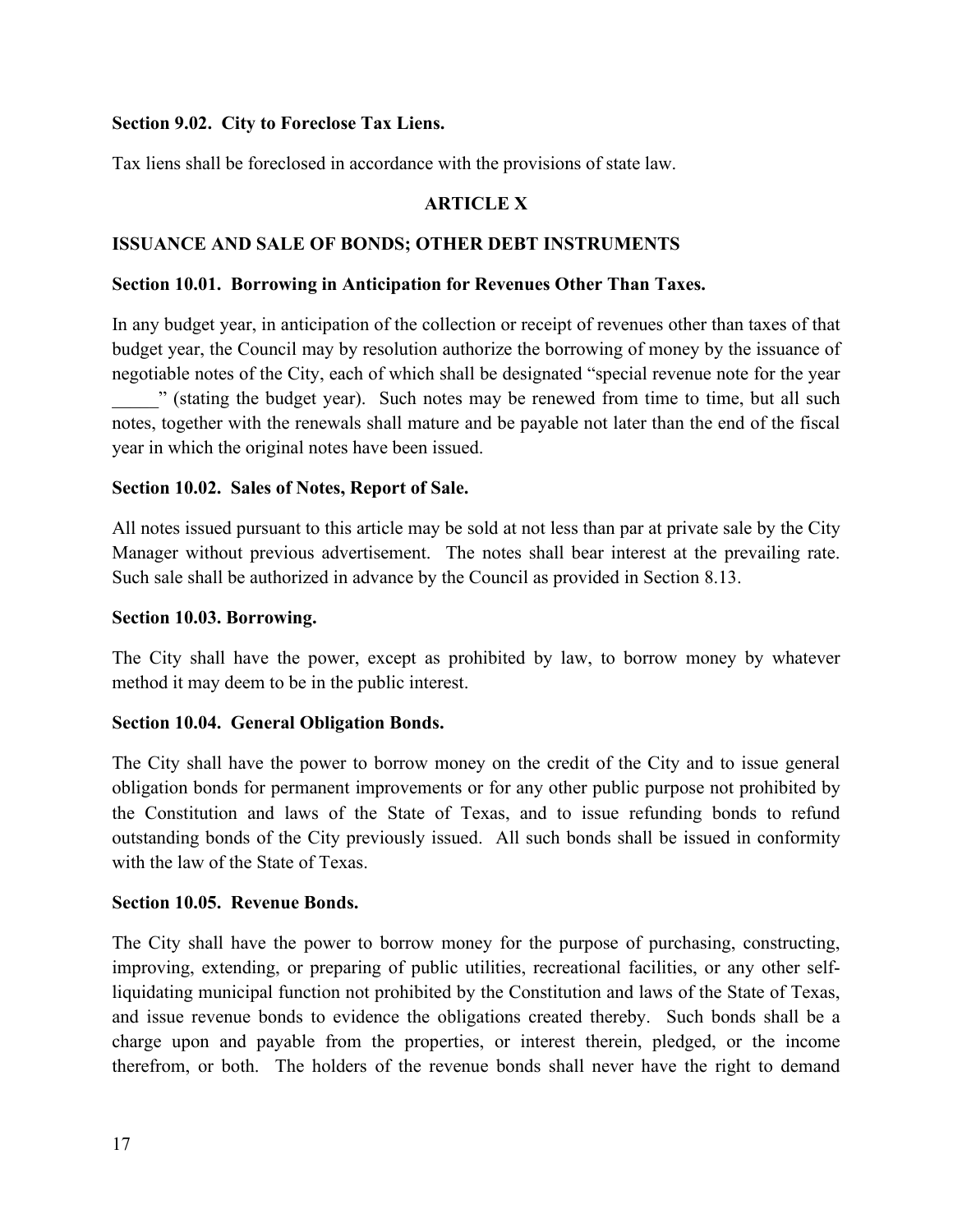#### **Section 9.02. City to Foreclose Tax Liens.**

Tax liens shall be foreclosed in accordance with the provisions of state law.

## **ARTICLE X**

#### **ISSUANCE AND SALE OF BONDS; OTHER DEBT INSTRUMENTS**

#### **Section 10.01. Borrowing in Anticipation for Revenues Other Than Taxes.**

In any budget year, in anticipation of the collection or receipt of revenues other than taxes of that budget year, the Council may by resolution authorize the borrowing of money by the issuance of negotiable notes of the City, each of which shall be designated "special revenue note for the year " (stating the budget year). Such notes may be renewed from time to time, but all such notes, together with the renewals shall mature and be payable not later than the end of the fiscal year in which the original notes have been issued.

#### **Section 10.02. Sales of Notes, Report of Sale.**

All notes issued pursuant to this article may be sold at not less than par at private sale by the City Manager without previous advertisement. The notes shall bear interest at the prevailing rate. Such sale shall be authorized in advance by the Council as provided in Section 8.13.

#### **Section 10.03. Borrowing.**

The City shall have the power, except as prohibited by law, to borrow money by whatever method it may deem to be in the public interest.

#### **Section 10.04. General Obligation Bonds.**

The City shall have the power to borrow money on the credit of the City and to issue general obligation bonds for permanent improvements or for any other public purpose not prohibited by the Constitution and laws of the State of Texas, and to issue refunding bonds to refund outstanding bonds of the City previously issued. All such bonds shall be issued in conformity with the law of the State of Texas.

#### **Section 10.05. Revenue Bonds.**

The City shall have the power to borrow money for the purpose of purchasing, constructing, improving, extending, or preparing of public utilities, recreational facilities, or any other selfliquidating municipal function not prohibited by the Constitution and laws of the State of Texas, and issue revenue bonds to evidence the obligations created thereby. Such bonds shall be a charge upon and payable from the properties, or interest therein, pledged, or the income therefrom, or both. The holders of the revenue bonds shall never have the right to demand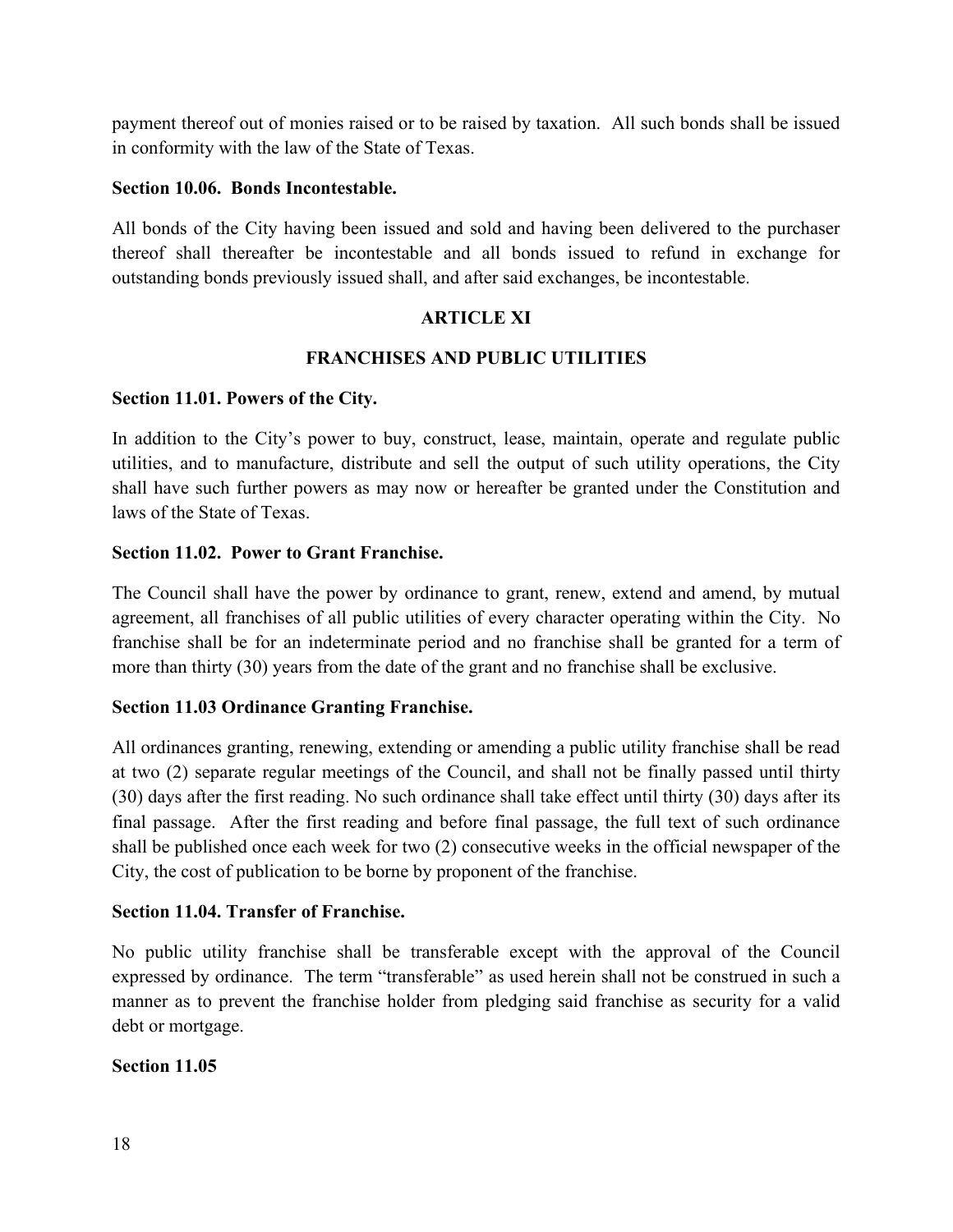payment thereof out of monies raised or to be raised by taxation. All such bonds shall be issued in conformity with the law of the State of Texas.

#### **Section 10.06. Bonds Incontestable.**

All bonds of the City having been issued and sold and having been delivered to the purchaser thereof shall thereafter be incontestable and all bonds issued to refund in exchange for outstanding bonds previously issued shall, and after said exchanges, be incontestable.

## **ARTICLE XI**

# **FRANCHISES AND PUBLIC UTILITIES**

#### **Section 11.01. Powers of the City.**

In addition to the City's power to buy, construct, lease, maintain, operate and regulate public utilities, and to manufacture, distribute and sell the output of such utility operations, the City shall have such further powers as may now or hereafter be granted under the Constitution and laws of the State of Texas.

## **Section 11.02. Power to Grant Franchise.**

The Council shall have the power by ordinance to grant, renew, extend and amend, by mutual agreement, all franchises of all public utilities of every character operating within the City. No franchise shall be for an indeterminate period and no franchise shall be granted for a term of more than thirty (30) years from the date of the grant and no franchise shall be exclusive.

#### **Section 11.03 Ordinance Granting Franchise.**

All ordinances granting, renewing, extending or amending a public utility franchise shall be read at two (2) separate regular meetings of the Council, and shall not be finally passed until thirty (30) days after the first reading. No such ordinance shall take effect until thirty (30) days after its final passage. After the first reading and before final passage, the full text of such ordinance shall be published once each week for two (2) consecutive weeks in the official newspaper of the City, the cost of publication to be borne by proponent of the franchise.

#### **Section 11.04. Transfer of Franchise.**

No public utility franchise shall be transferable except with the approval of the Council expressed by ordinance. The term "transferable" as used herein shall not be construed in such a manner as to prevent the franchise holder from pledging said franchise as security for a valid debt or mortgage.

#### **Section 11.05**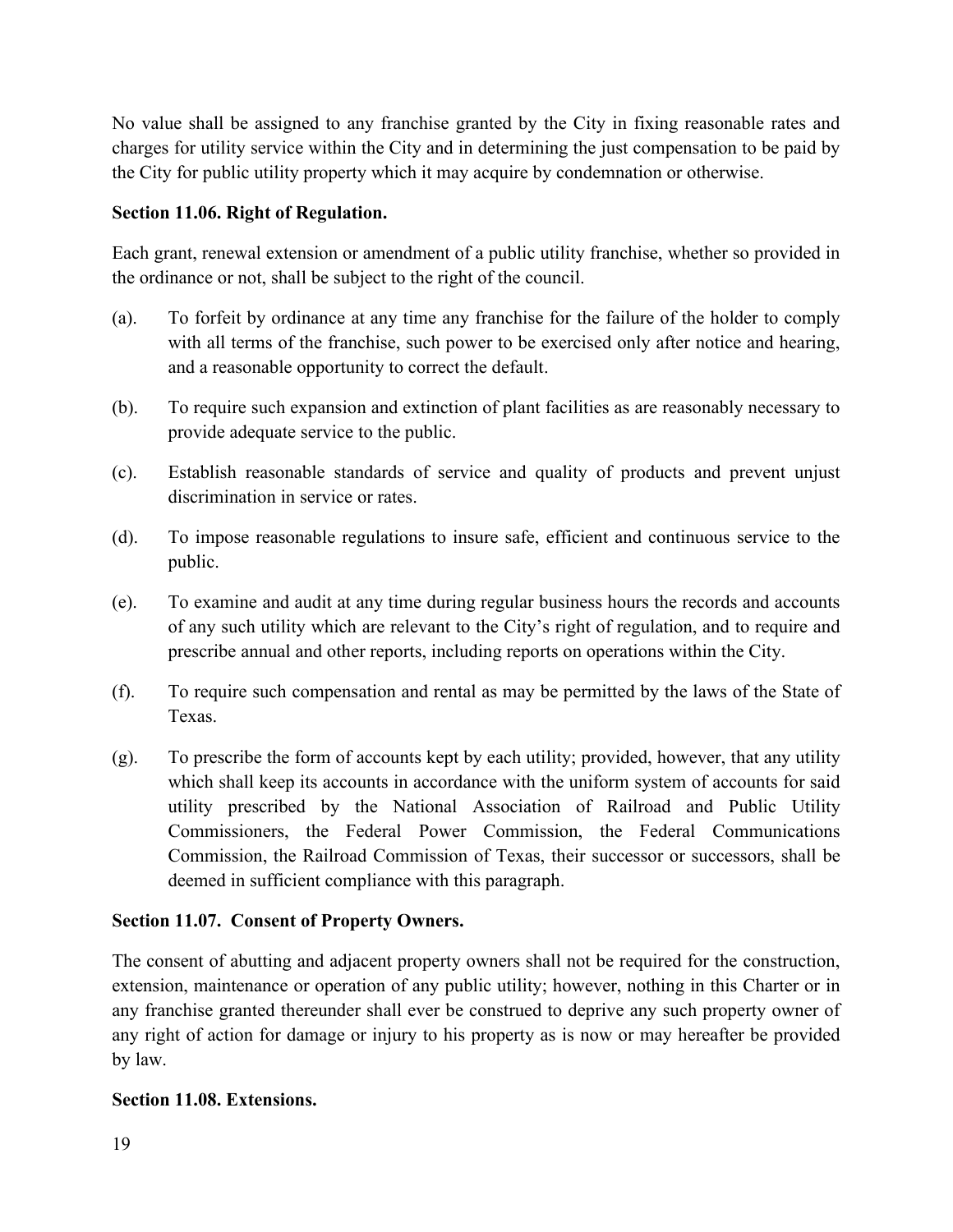No value shall be assigned to any franchise granted by the City in fixing reasonable rates and charges for utility service within the City and in determining the just compensation to be paid by the City for public utility property which it may acquire by condemnation or otherwise.

# **Section 11.06. Right of Regulation.**

Each grant, renewal extension or amendment of a public utility franchise, whether so provided in the ordinance or not, shall be subject to the right of the council.

- (a). To forfeit by ordinance at any time any franchise for the failure of the holder to comply with all terms of the franchise, such power to be exercised only after notice and hearing, and a reasonable opportunity to correct the default.
- (b). To require such expansion and extinction of plant facilities as are reasonably necessary to provide adequate service to the public.
- (c). Establish reasonable standards of service and quality of products and prevent unjust discrimination in service or rates.
- (d). To impose reasonable regulations to insure safe, efficient and continuous service to the public.
- (e). To examine and audit at any time during regular business hours the records and accounts of any such utility which are relevant to the City's right of regulation, and to require and prescribe annual and other reports, including reports on operations within the City.
- (f). To require such compensation and rental as may be permitted by the laws of the State of Texas.
- (g). To prescribe the form of accounts kept by each utility; provided, however, that any utility which shall keep its accounts in accordance with the uniform system of accounts for said utility prescribed by the National Association of Railroad and Public Utility Commissioners, the Federal Power Commission, the Federal Communications Commission, the Railroad Commission of Texas, their successor or successors, shall be deemed in sufficient compliance with this paragraph.

# **Section 11.07. Consent of Property Owners.**

The consent of abutting and adjacent property owners shall not be required for the construction, extension, maintenance or operation of any public utility; however, nothing in this Charter or in any franchise granted thereunder shall ever be construed to deprive any such property owner of any right of action for damage or injury to his property as is now or may hereafter be provided by law.

# **Section 11.08. Extensions.**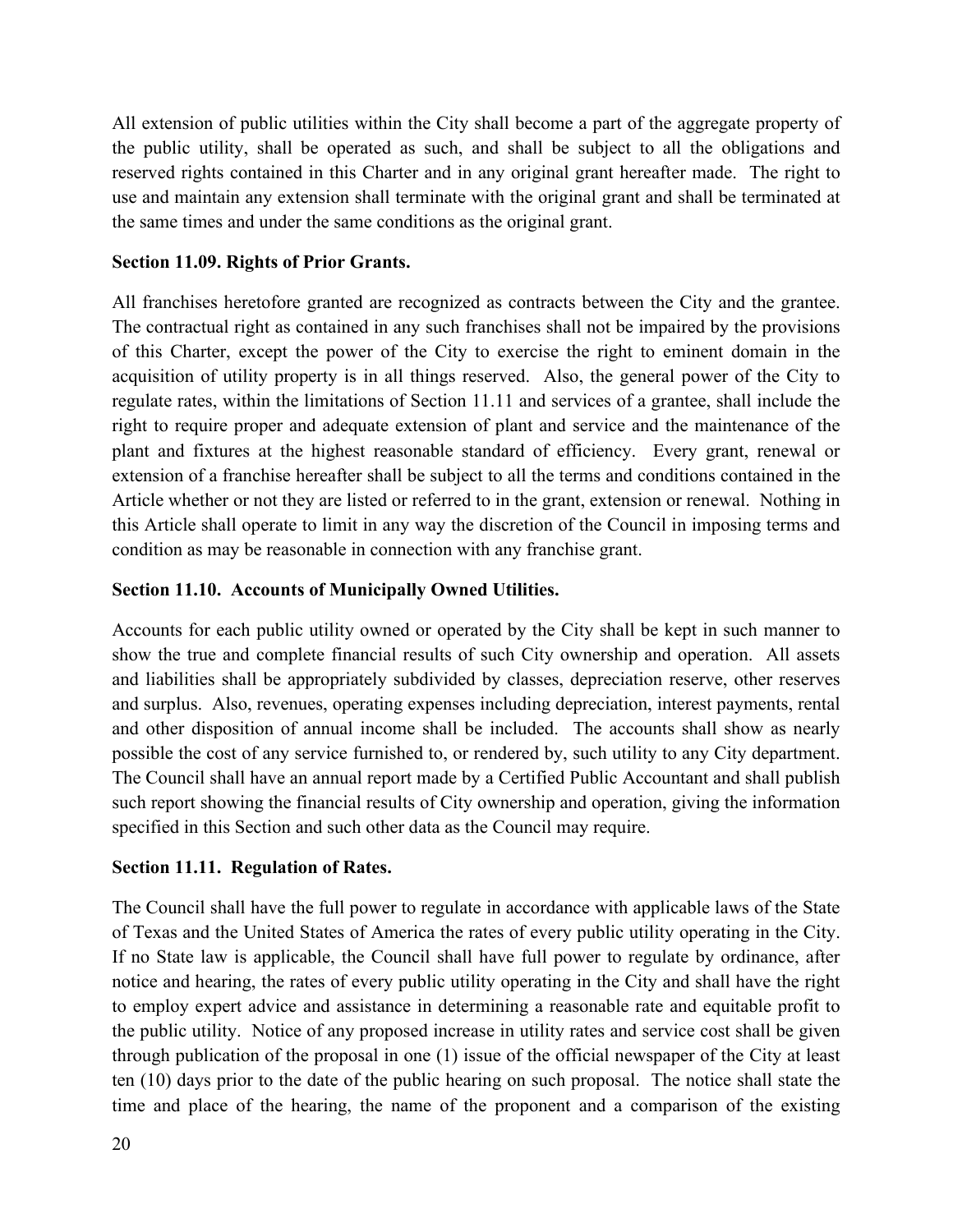All extension of public utilities within the City shall become a part of the aggregate property of the public utility, shall be operated as such, and shall be subject to all the obligations and reserved rights contained in this Charter and in any original grant hereafter made. The right to use and maintain any extension shall terminate with the original grant and shall be terminated at the same times and under the same conditions as the original grant.

#### **Section 11.09. Rights of Prior Grants.**

All franchises heretofore granted are recognized as contracts between the City and the grantee. The contractual right as contained in any such franchises shall not be impaired by the provisions of this Charter, except the power of the City to exercise the right to eminent domain in the acquisition of utility property is in all things reserved. Also, the general power of the City to regulate rates, within the limitations of Section 11.11 and services of a grantee, shall include the right to require proper and adequate extension of plant and service and the maintenance of the plant and fixtures at the highest reasonable standard of efficiency. Every grant, renewal or extension of a franchise hereafter shall be subject to all the terms and conditions contained in the Article whether or not they are listed or referred to in the grant, extension or renewal. Nothing in this Article shall operate to limit in any way the discretion of the Council in imposing terms and condition as may be reasonable in connection with any franchise grant.

## **Section 11.10. Accounts of Municipally Owned Utilities.**

Accounts for each public utility owned or operated by the City shall be kept in such manner to show the true and complete financial results of such City ownership and operation. All assets and liabilities shall be appropriately subdivided by classes, depreciation reserve, other reserves and surplus. Also, revenues, operating expenses including depreciation, interest payments, rental and other disposition of annual income shall be included. The accounts shall show as nearly possible the cost of any service furnished to, or rendered by, such utility to any City department. The Council shall have an annual report made by a Certified Public Accountant and shall publish such report showing the financial results of City ownership and operation, giving the information specified in this Section and such other data as the Council may require.

#### **Section 11.11. Regulation of Rates.**

The Council shall have the full power to regulate in accordance with applicable laws of the State of Texas and the United States of America the rates of every public utility operating in the City. If no State law is applicable, the Council shall have full power to regulate by ordinance, after notice and hearing, the rates of every public utility operating in the City and shall have the right to employ expert advice and assistance in determining a reasonable rate and equitable profit to the public utility. Notice of any proposed increase in utility rates and service cost shall be given through publication of the proposal in one (1) issue of the official newspaper of the City at least ten (10) days prior to the date of the public hearing on such proposal. The notice shall state the time and place of the hearing, the name of the proponent and a comparison of the existing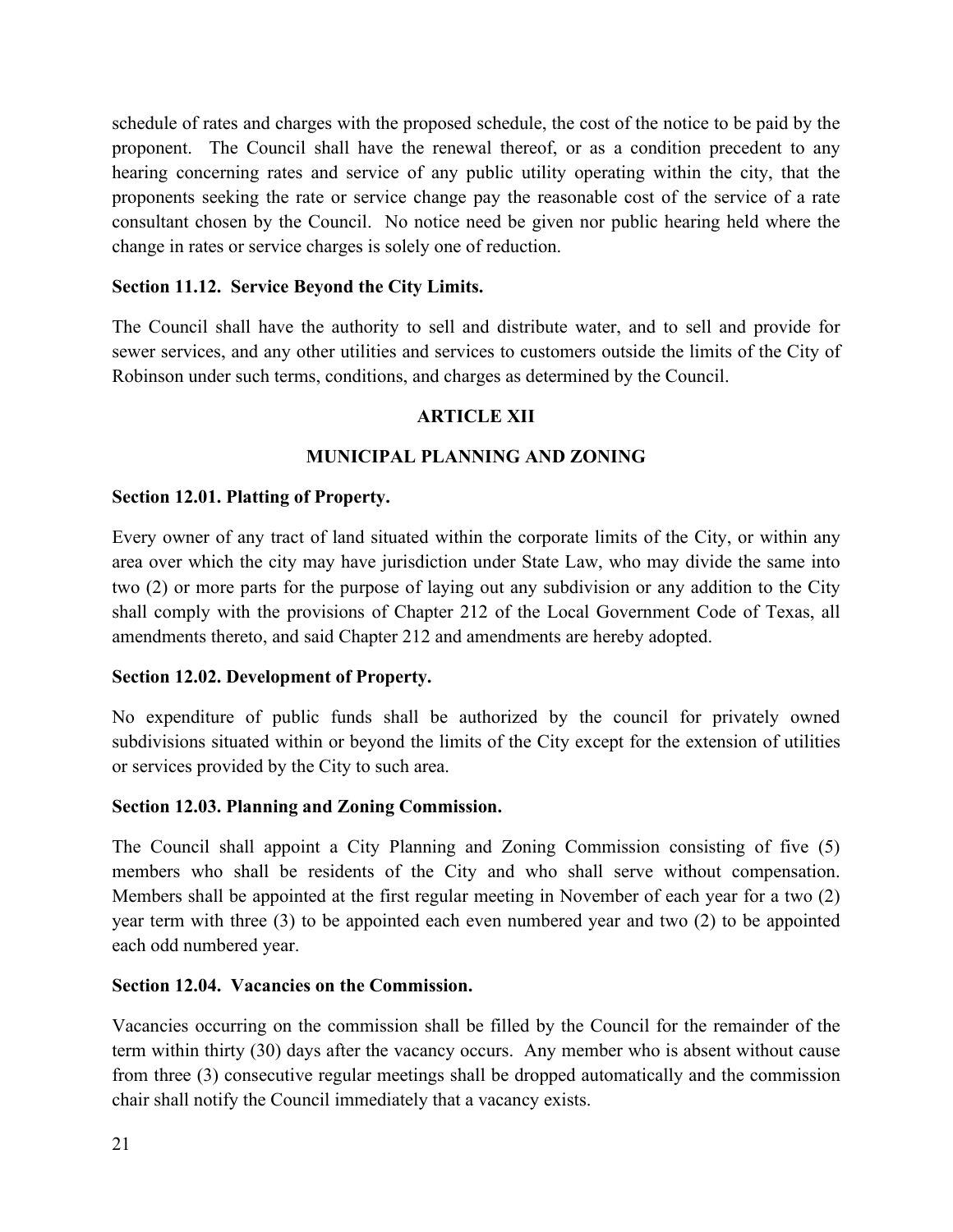schedule of rates and charges with the proposed schedule, the cost of the notice to be paid by the proponent. The Council shall have the renewal thereof, or as a condition precedent to any hearing concerning rates and service of any public utility operating within the city, that the proponents seeking the rate or service change pay the reasonable cost of the service of a rate consultant chosen by the Council. No notice need be given nor public hearing held where the change in rates or service charges is solely one of reduction.

#### **Section 11.12. Service Beyond the City Limits.**

The Council shall have the authority to sell and distribute water, and to sell and provide for sewer services, and any other utilities and services to customers outside the limits of the City of Robinson under such terms, conditions, and charges as determined by the Council.

# **ARTICLE XII**

#### **MUNICIPAL PLANNING AND ZONING**

#### **Section 12.01. Platting of Property.**

Every owner of any tract of land situated within the corporate limits of the City, or within any area over which the city may have jurisdiction under State Law, who may divide the same into two (2) or more parts for the purpose of laying out any subdivision or any addition to the City shall comply with the provisions of Chapter 212 of the Local Government Code of Texas, all amendments thereto, and said Chapter 212 and amendments are hereby adopted.

#### **Section 12.02. Development of Property.**

No expenditure of public funds shall be authorized by the council for privately owned subdivisions situated within or beyond the limits of the City except for the extension of utilities or services provided by the City to such area.

#### **Section 12.03. Planning and Zoning Commission.**

The Council shall appoint a City Planning and Zoning Commission consisting of five (5) members who shall be residents of the City and who shall serve without compensation. Members shall be appointed at the first regular meeting in November of each year for a two (2) year term with three (3) to be appointed each even numbered year and two (2) to be appointed each odd numbered year.

#### **Section 12.04. Vacancies on the Commission.**

Vacancies occurring on the commission shall be filled by the Council for the remainder of the term within thirty (30) days after the vacancy occurs. Any member who is absent without cause from three (3) consecutive regular meetings shall be dropped automatically and the commission chair shall notify the Council immediately that a vacancy exists.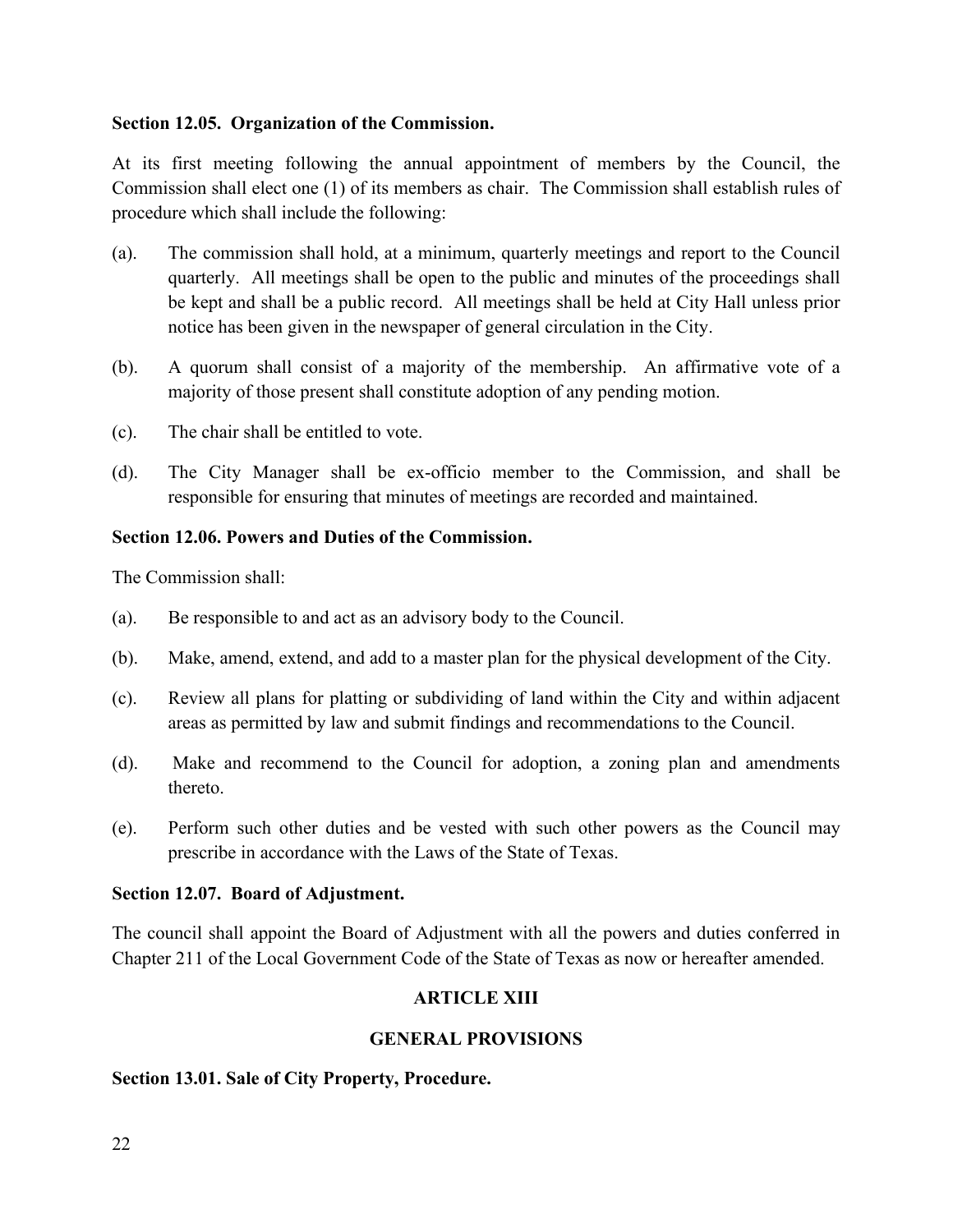#### **Section 12.05. Organization of the Commission.**

At its first meeting following the annual appointment of members by the Council, the Commission shall elect one (1) of its members as chair. The Commission shall establish rules of procedure which shall include the following:

- (a). The commission shall hold, at a minimum, quarterly meetings and report to the Council quarterly. All meetings shall be open to the public and minutes of the proceedings shall be kept and shall be a public record. All meetings shall be held at City Hall unless prior notice has been given in the newspaper of general circulation in the City.
- (b). A quorum shall consist of a majority of the membership. An affirmative vote of a majority of those present shall constitute adoption of any pending motion.
- (c). The chair shall be entitled to vote.
- (d). The City Manager shall be ex-officio member to the Commission, and shall be responsible for ensuring that minutes of meetings are recorded and maintained.

#### **Section 12.06. Powers and Duties of the Commission.**

The Commission shall:

- (a). Be responsible to and act as an advisory body to the Council.
- (b). Make, amend, extend, and add to a master plan for the physical development of the City.
- (c). Review all plans for platting or subdividing of land within the City and within adjacent areas as permitted by law and submit findings and recommendations to the Council.
- (d). Make and recommend to the Council for adoption, a zoning plan and amendments thereto.
- (e). Perform such other duties and be vested with such other powers as the Council may prescribe in accordance with the Laws of the State of Texas.

#### **Section 12.07. Board of Adjustment.**

The council shall appoint the Board of Adjustment with all the powers and duties conferred in Chapter 211 of the Local Government Code of the State of Texas as now or hereafter amended.

#### **ARTICLE XIII**

#### **GENERAL PROVISIONS**

#### **Section 13.01. Sale of City Property, Procedure.**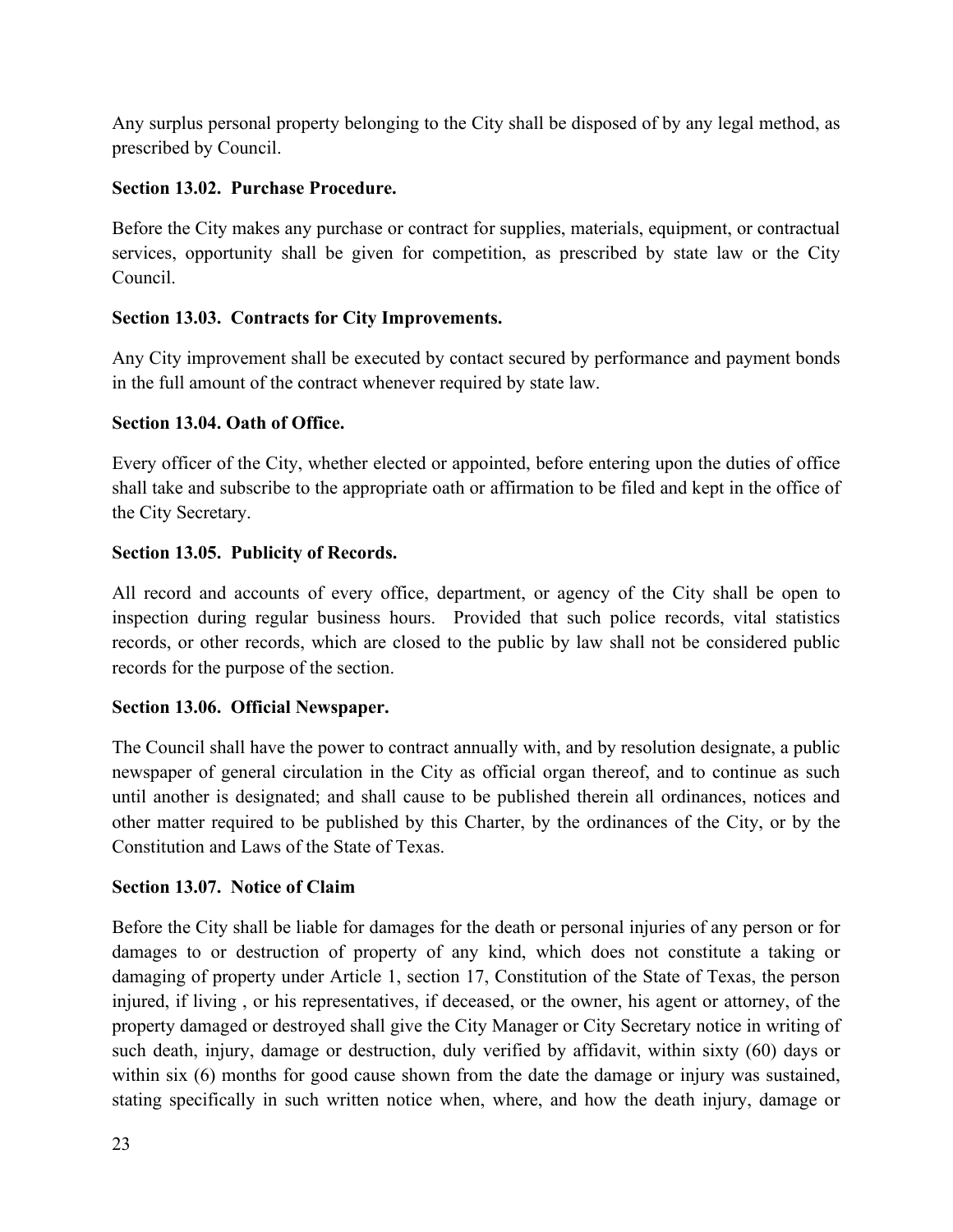Any surplus personal property belonging to the City shall be disposed of by any legal method, as prescribed by Council.

# **Section 13.02. Purchase Procedure.**

Before the City makes any purchase or contract for supplies, materials, equipment, or contractual services, opportunity shall be given for competition, as prescribed by state law or the City Council.

# **Section 13.03. Contracts for City Improvements.**

Any City improvement shall be executed by contact secured by performance and payment bonds in the full amount of the contract whenever required by state law.

# **Section 13.04. Oath of Office.**

Every officer of the City, whether elected or appointed, before entering upon the duties of office shall take and subscribe to the appropriate oath or affirmation to be filed and kept in the office of the City Secretary.

# **Section 13.05. Publicity of Records.**

All record and accounts of every office, department, or agency of the City shall be open to inspection during regular business hours. Provided that such police records, vital statistics records, or other records, which are closed to the public by law shall not be considered public records for the purpose of the section.

# **Section 13.06. Official Newspaper.**

The Council shall have the power to contract annually with, and by resolution designate, a public newspaper of general circulation in the City as official organ thereof, and to continue as such until another is designated; and shall cause to be published therein all ordinances, notices and other matter required to be published by this Charter, by the ordinances of the City, or by the Constitution and Laws of the State of Texas.

# **Section 13.07. Notice of Claim**

Before the City shall be liable for damages for the death or personal injuries of any person or for damages to or destruction of property of any kind, which does not constitute a taking or damaging of property under Article 1, section 17, Constitution of the State of Texas, the person injured, if living , or his representatives, if deceased, or the owner, his agent or attorney, of the property damaged or destroyed shall give the City Manager or City Secretary notice in writing of such death, injury, damage or destruction, duly verified by affidavit, within sixty (60) days or within six (6) months for good cause shown from the date the damage or injury was sustained, stating specifically in such written notice when, where, and how the death injury, damage or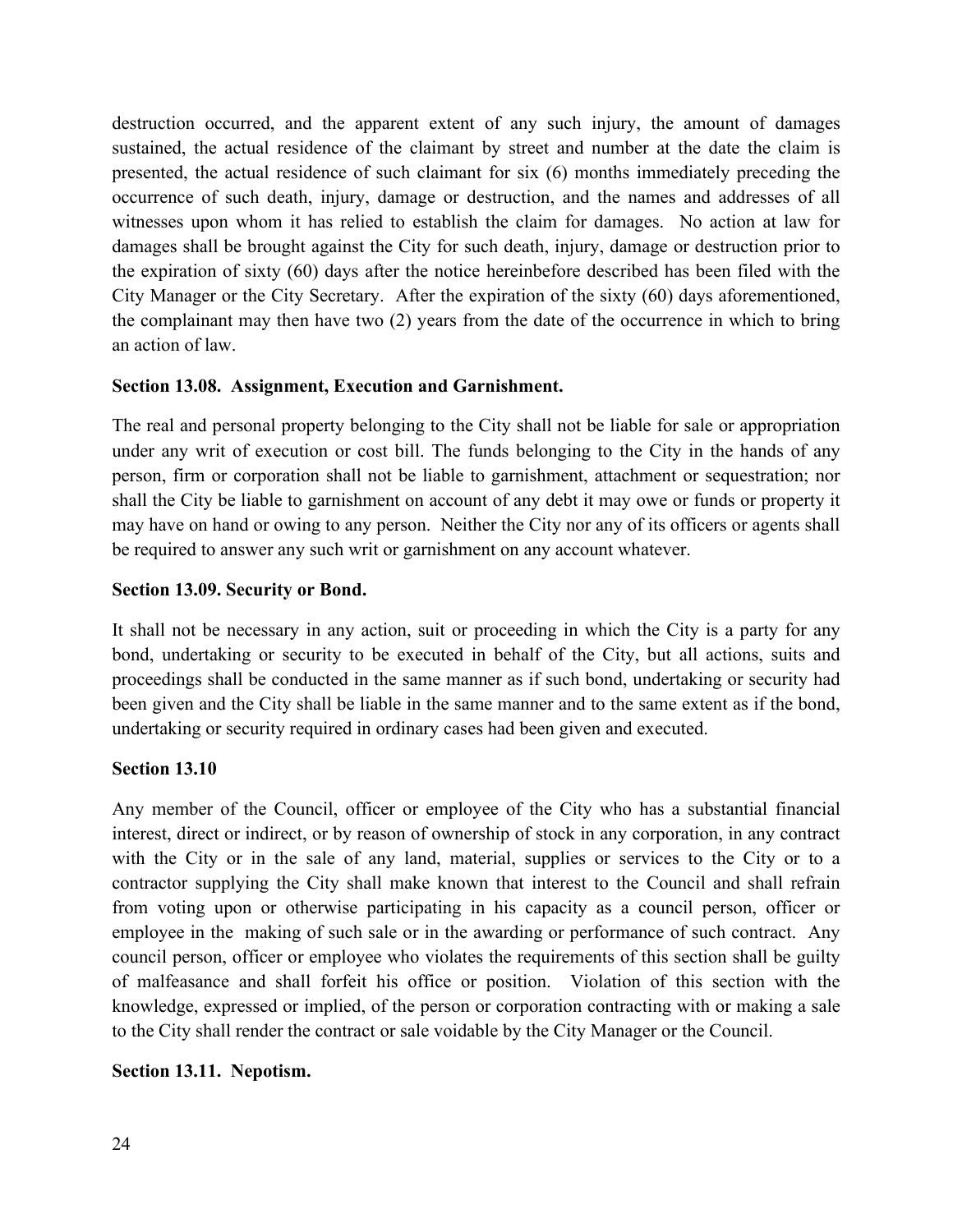destruction occurred, and the apparent extent of any such injury, the amount of damages sustained, the actual residence of the claimant by street and number at the date the claim is presented, the actual residence of such claimant for six (6) months immediately preceding the occurrence of such death, injury, damage or destruction, and the names and addresses of all witnesses upon whom it has relied to establish the claim for damages. No action at law for damages shall be brought against the City for such death, injury, damage or destruction prior to the expiration of sixty (60) days after the notice hereinbefore described has been filed with the City Manager or the City Secretary. After the expiration of the sixty (60) days aforementioned, the complainant may then have two (2) years from the date of the occurrence in which to bring an action of law.

## **Section 13.08. Assignment, Execution and Garnishment.**

The real and personal property belonging to the City shall not be liable for sale or appropriation under any writ of execution or cost bill. The funds belonging to the City in the hands of any person, firm or corporation shall not be liable to garnishment, attachment or sequestration; nor shall the City be liable to garnishment on account of any debt it may owe or funds or property it may have on hand or owing to any person. Neither the City nor any of its officers or agents shall be required to answer any such writ or garnishment on any account whatever.

#### **Section 13.09. Security or Bond.**

It shall not be necessary in any action, suit or proceeding in which the City is a party for any bond, undertaking or security to be executed in behalf of the City, but all actions, suits and proceedings shall be conducted in the same manner as if such bond, undertaking or security had been given and the City shall be liable in the same manner and to the same extent as if the bond, undertaking or security required in ordinary cases had been given and executed.

#### **Section 13.10**

Any member of the Council, officer or employee of the City who has a substantial financial interest, direct or indirect, or by reason of ownership of stock in any corporation, in any contract with the City or in the sale of any land, material, supplies or services to the City or to a contractor supplying the City shall make known that interest to the Council and shall refrain from voting upon or otherwise participating in his capacity as a council person, officer or employee in the making of such sale or in the awarding or performance of such contract. Any council person, officer or employee who violates the requirements of this section shall be guilty of malfeasance and shall forfeit his office or position. Violation of this section with the knowledge, expressed or implied, of the person or corporation contracting with or making a sale to the City shall render the contract or sale voidable by the City Manager or the Council.

#### **Section 13.11. Nepotism.**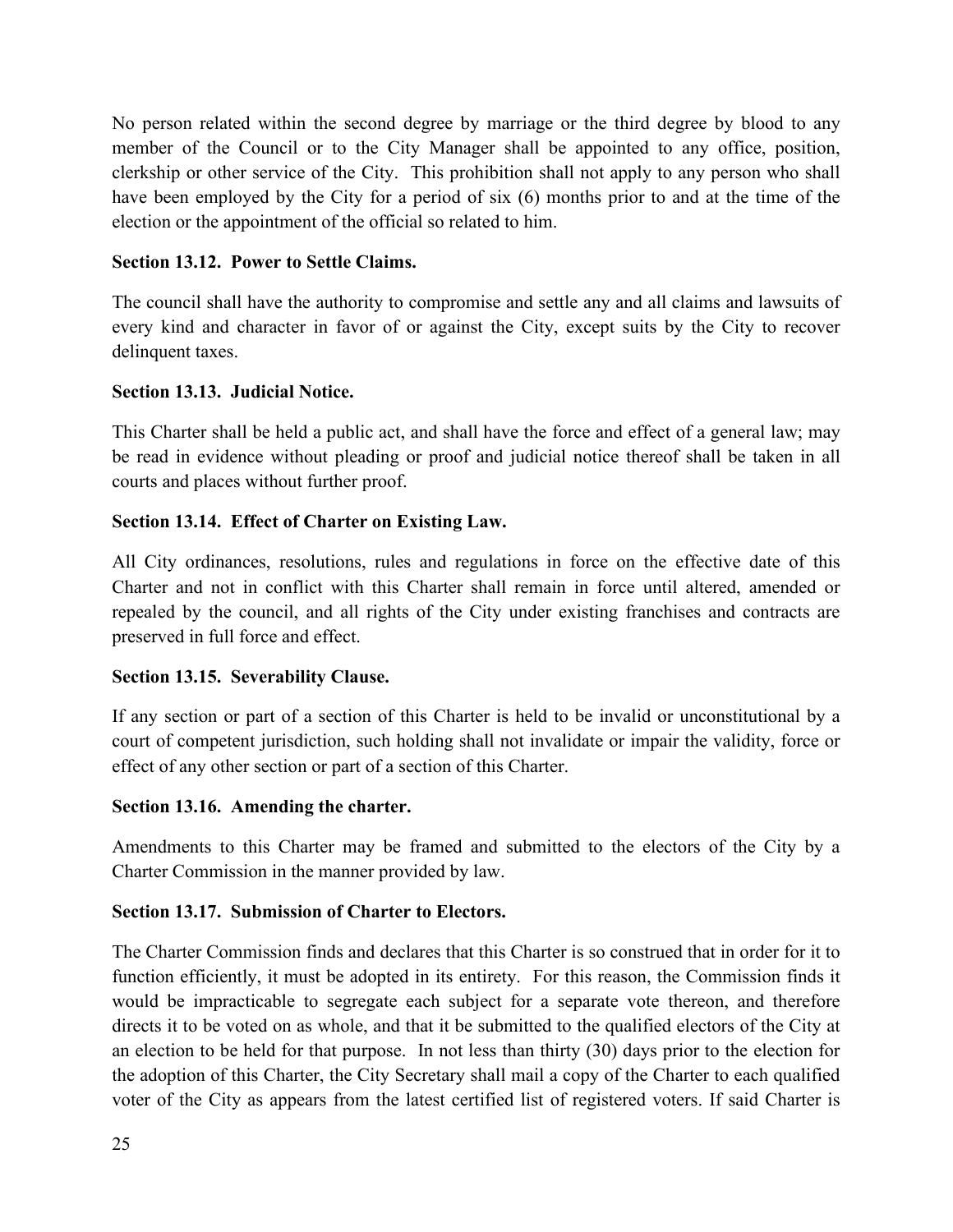No person related within the second degree by marriage or the third degree by blood to any member of the Council or to the City Manager shall be appointed to any office, position, clerkship or other service of the City. This prohibition shall not apply to any person who shall have been employed by the City for a period of six (6) months prior to and at the time of the election or the appointment of the official so related to him.

## **Section 13.12. Power to Settle Claims.**

The council shall have the authority to compromise and settle any and all claims and lawsuits of every kind and character in favor of or against the City, except suits by the City to recover delinquent taxes.

## **Section 13.13. Judicial Notice.**

This Charter shall be held a public act, and shall have the force and effect of a general law; may be read in evidence without pleading or proof and judicial notice thereof shall be taken in all courts and places without further proof.

## **Section 13.14. Effect of Charter on Existing Law.**

All City ordinances, resolutions, rules and regulations in force on the effective date of this Charter and not in conflict with this Charter shall remain in force until altered, amended or repealed by the council, and all rights of the City under existing franchises and contracts are preserved in full force and effect.

#### **Section 13.15. Severability Clause.**

If any section or part of a section of this Charter is held to be invalid or unconstitutional by a court of competent jurisdiction, such holding shall not invalidate or impair the validity, force or effect of any other section or part of a section of this Charter.

#### **Section 13.16. Amending the charter.**

Amendments to this Charter may be framed and submitted to the electors of the City by a Charter Commission in the manner provided by law.

#### **Section 13.17. Submission of Charter to Electors.**

The Charter Commission finds and declares that this Charter is so construed that in order for it to function efficiently, it must be adopted in its entirety. For this reason, the Commission finds it would be impracticable to segregate each subject for a separate vote thereon, and therefore directs it to be voted on as whole, and that it be submitted to the qualified electors of the City at an election to be held for that purpose. In not less than thirty (30) days prior to the election for the adoption of this Charter, the City Secretary shall mail a copy of the Charter to each qualified voter of the City as appears from the latest certified list of registered voters. If said Charter is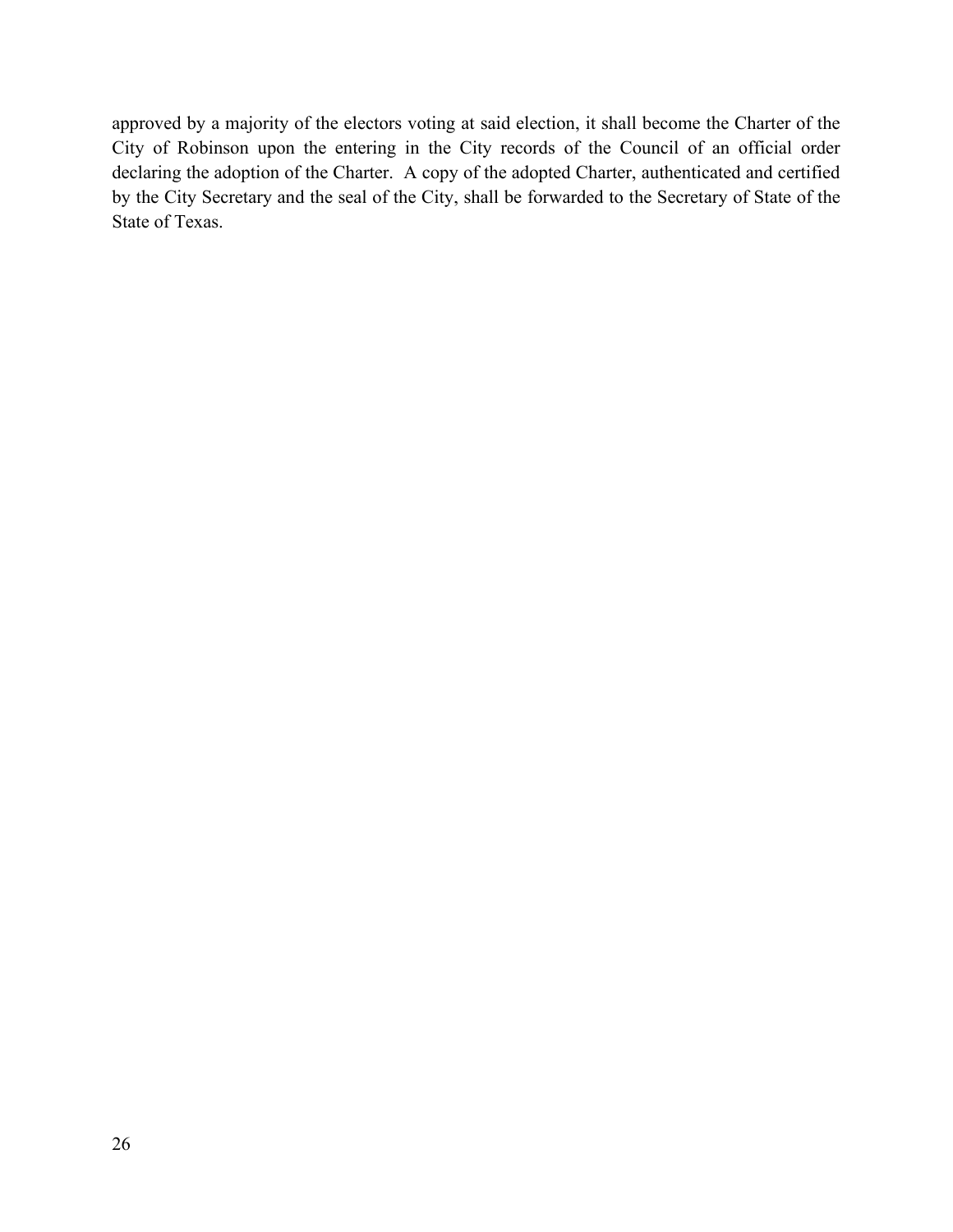approved by a majority of the electors voting at said election, it shall become the Charter of the City of Robinson upon the entering in the City records of the Council of an official order declaring the adoption of the Charter. A copy of the adopted Charter, authenticated and certified by the City Secretary and the seal of the City, shall be forwarded to the Secretary of State of the State of Texas.